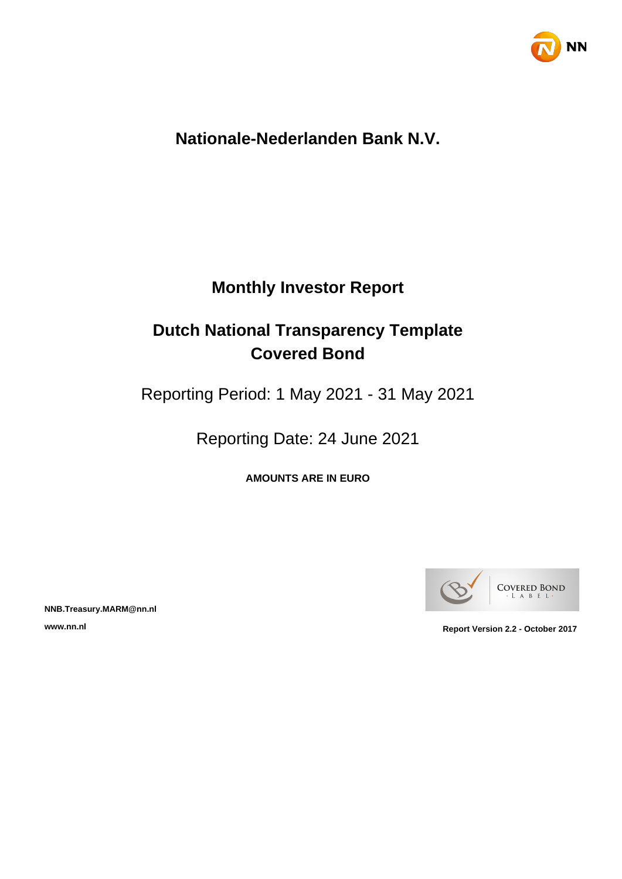

# **Nationale-Nederlanden Bank N.V.**

# **Monthly Investor Report**

# **Dutch National Transparency Template Covered Bond**

Reporting Period: 1 May 2021 - 31 May 2021

Reporting Date: 24 June 2021

**AMOUNTS ARE IN EURO**



**NNB.Treasury.MARM@nn.nl**

**www.nn.nl Report Version 2.2 - October 2017**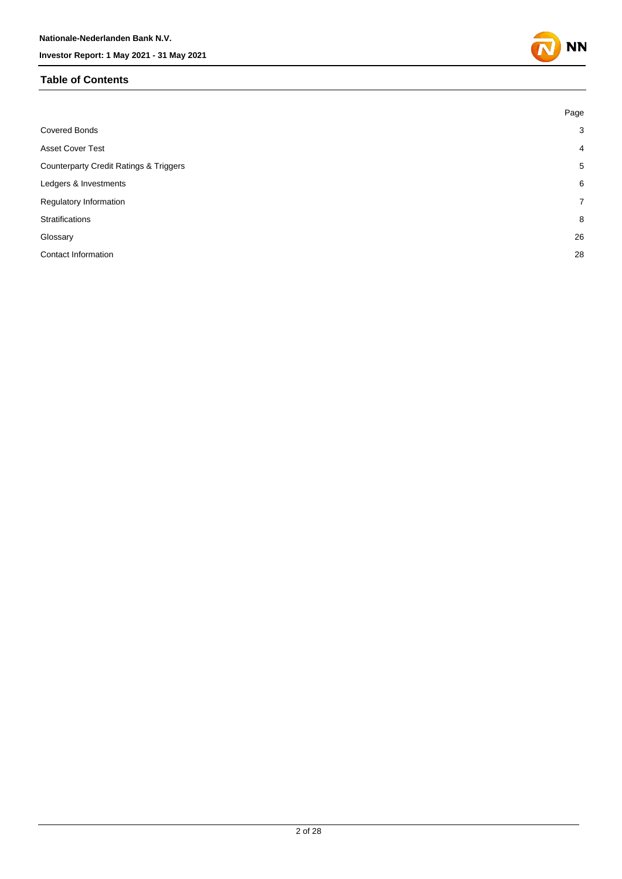#### **Table of Contents**



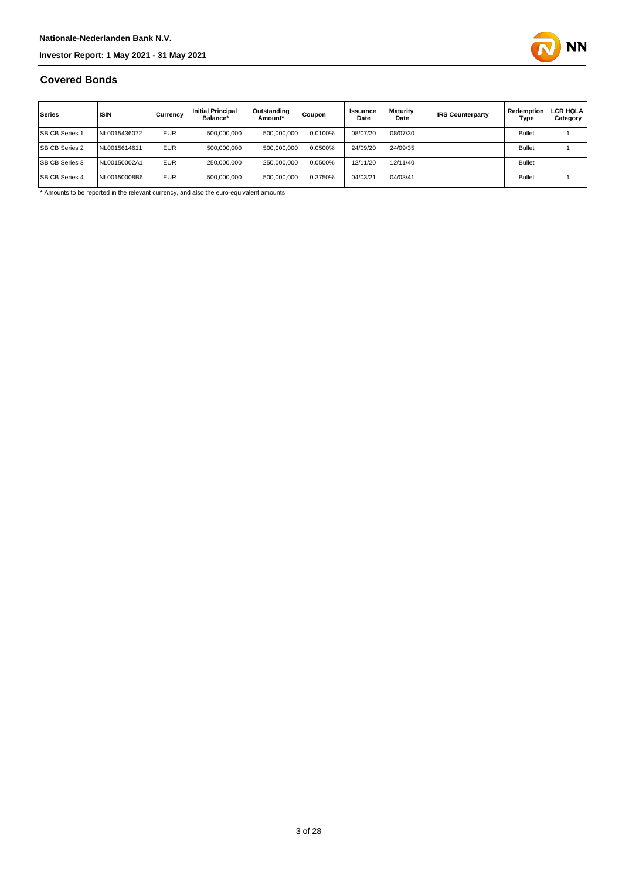

#### **Covered Bonds**

| Series                | <b>ISIN</b>  | Currency   | <b>Initial Principal</b><br>Balance* | Outstanding<br>Amount* | Coupon  | Issuance<br>Date | Maturity<br>Date | <b>IRS Counterparty</b> | Redemption<br>Type | LCR HQLA<br>Category |
|-----------------------|--------------|------------|--------------------------------------|------------------------|---------|------------------|------------------|-------------------------|--------------------|----------------------|
| <b>SB CB Series 1</b> | NL0015436072 | <b>EUR</b> | 500,000,000                          | 500,000,000            | 0.0100% | 08/07/20         | 08/07/30         |                         | <b>Bullet</b>      |                      |
| <b>SB CB Series 2</b> | NL0015614611 | <b>EUR</b> | 500.000.000                          | 500,000,000            | 0.0500% | 24/09/20         | 24/09/35         |                         | <b>Bullet</b>      |                      |
| <b>SB CB Series 3</b> | NL00150002A1 | <b>EUR</b> | 250.000.000                          | 250,000,000            | 0.0500% | 12/11/20         | 12/11/40         |                         | <b>Bullet</b>      |                      |
| <b>SB CB Series 4</b> | NL00150008B6 | <b>EUR</b> | 500,000,000                          | 500,000,000            | 0.3750% | 04/03/21         | 04/03/41         |                         | <b>Bullet</b>      |                      |

\* Amounts to be reported in the relevant currency, and also the euro-equivalent amounts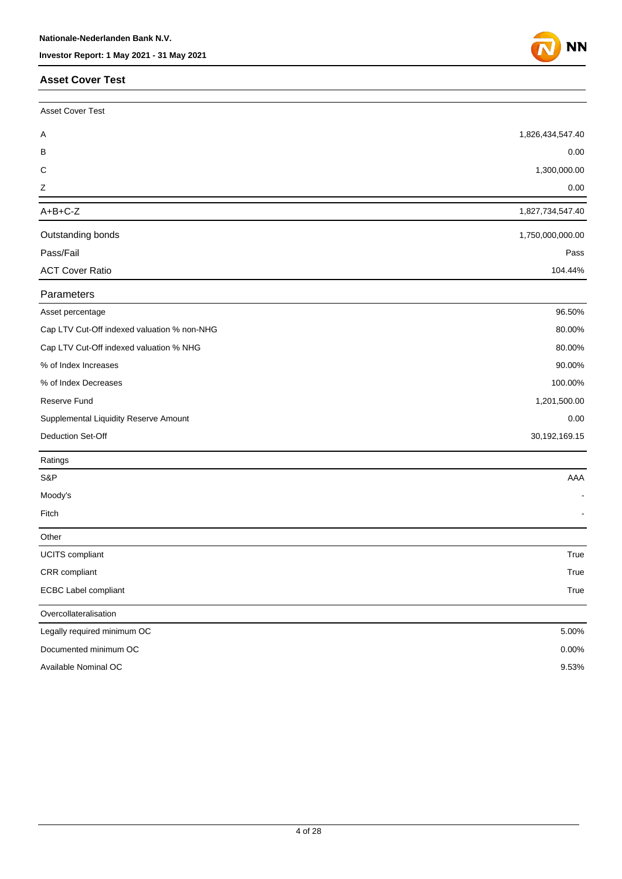#### **Asset Cover Test**



| <b>Asset Cover Test</b>                     |                  |
|---------------------------------------------|------------------|
| Α                                           | 1,826,434,547.40 |
| В                                           | 0.00             |
| С                                           | 1,300,000.00     |
| Ζ                                           | 0.00             |
| $A+B+C-Z$                                   | 1,827,734,547.40 |
| Outstanding bonds                           | 1,750,000,000.00 |
| Pass/Fail                                   | Pass             |
| <b>ACT Cover Ratio</b>                      | 104.44%          |
| Parameters                                  |                  |
| Asset percentage                            | 96.50%           |
| Cap LTV Cut-Off indexed valuation % non-NHG | 80.00%           |
| Cap LTV Cut-Off indexed valuation % NHG     | 80.00%           |
| % of Index Increases                        | 90.00%           |
| % of Index Decreases                        | 100.00%          |
| Reserve Fund                                | 1,201,500.00     |
| Supplemental Liquidity Reserve Amount       | 0.00             |
| Deduction Set-Off                           | 30,192,169.15    |
| Ratings                                     |                  |
| S&P                                         | AAA              |
| Moody's                                     |                  |
| Fitch                                       |                  |
| Other                                       |                  |
| <b>UCITS</b> compliant                      | True             |
| CRR compliant                               | True             |
| <b>ECBC Label compliant</b>                 | True             |
| Overcollateralisation                       |                  |
| Legally required minimum OC                 | 5.00%            |
| Documented minimum OC                       | 0.00%            |
| Available Nominal OC                        | 9.53%            |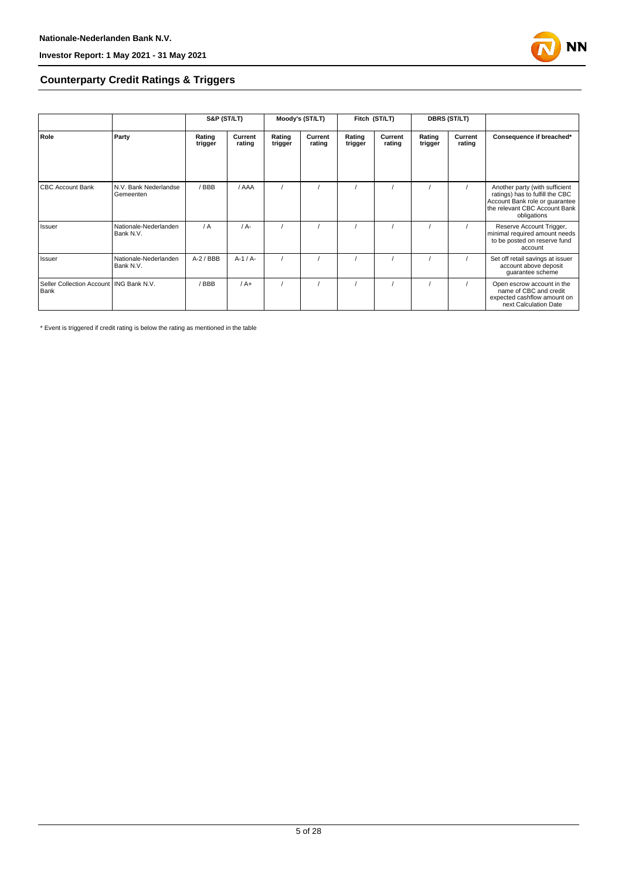

#### **Counterparty Credit Ratings & Triggers**

|                                                   |                                    | S&P (ST/LT)       |                   |                   | Moody's (ST/LT)   |                   | Fitch (ST/LT)     |                   | <b>DBRS (ST/LT)</b> |                                                                                                                                                     |
|---------------------------------------------------|------------------------------------|-------------------|-------------------|-------------------|-------------------|-------------------|-------------------|-------------------|---------------------|-----------------------------------------------------------------------------------------------------------------------------------------------------|
| Role                                              | Party                              | Rating<br>trigger | Current<br>rating | Rating<br>trigger | Current<br>rating | Rating<br>trigger | Current<br>rating | Rating<br>trigger | Current<br>rating   | Consequence if breached*                                                                                                                            |
| <b>CBC Account Bank</b>                           | N.V. Bank Nederlandse<br>Gemeenten | /BBB              | / AAA             |                   |                   |                   |                   |                   |                     | Another party (with sufficient<br>ratings) has to fulfill the CBC<br>Account Bank role or guarantee<br>the relevant CBC Account Bank<br>obligations |
| Issuer                                            | Nationale-Nederlanden<br>Bank N.V. | / A               | $/A -$            |                   |                   |                   |                   |                   |                     | Reserve Account Trigger,<br>minimal required amount needs<br>to be posted on reserve fund<br>account                                                |
| Issuer                                            | Nationale-Nederlanden<br>Bank N.V. | $A-2$ / BBB       | $A-1/A-$          |                   |                   |                   |                   |                   |                     | Set off retail savings at issuer<br>account above deposit<br>guarantee scheme                                                                       |
| Seller Collection Account   ING Bank N.V.<br>Bank |                                    | / BBB             | $/A+$             |                   |                   |                   |                   |                   |                     | Open escrow account in the<br>name of CBC and credit<br>expected cashflow amount on<br>next Calculation Date                                        |

\* Event is triggered if credit rating is below the rating as mentioned in the table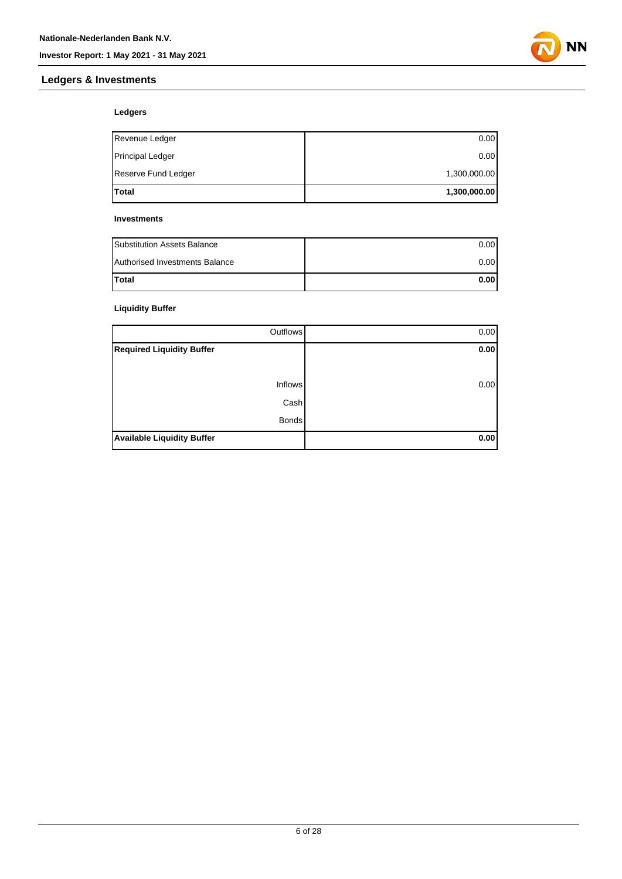#### **Ledgers & Investments**



#### **Ledgers**

| Total                   | 1,300,000.00 |
|-------------------------|--------------|
| Reserve Fund Ledger     | 1,300,000.00 |
| <b>Principal Ledger</b> | 0.00         |
| Revenue Ledger          | 0.00         |

#### **Investments**

| <b>Substitution Assets Balance</b> | 0.001 |
|------------------------------------|-------|
| Authorised Investments Balance     | 0.001 |
| <b>Total</b>                       | 0.001 |

#### **Liquidity Buffer**

| Outflows                          | 0.00 |
|-----------------------------------|------|
| <b>Required Liquidity Buffer</b>  | 0.00 |
|                                   |      |
| <b>Inflows</b>                    | 0.00 |
| Cash                              |      |
| <b>Bonds</b>                      |      |
| <b>Available Liquidity Buffer</b> | 0.00 |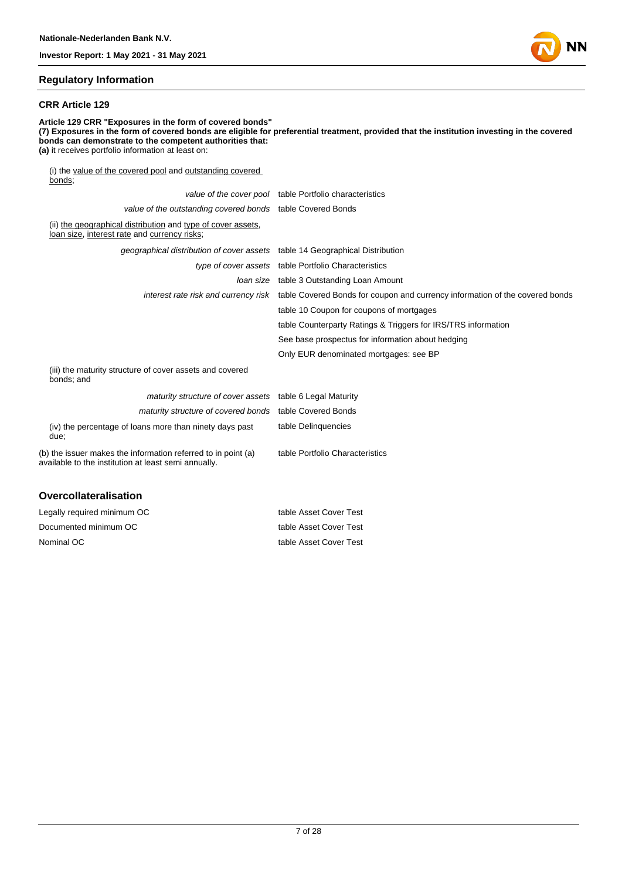

#### **Regulatory Information**

#### **CRR Article 129**

**Article 129 CRR "Exposures in the form of covered bonds" (7) Exposures in the form of covered bonds are eligible for preferential treatment, provided that the institution investing in the covered bonds can demonstrate to the competent authorities that: (a)** it receives portfolio information at least on: (i) the value of the covered pool and outstanding covered bonds;

|                                                                                                                       | value of the cover pool table Portfolio characteristics                                                           |
|-----------------------------------------------------------------------------------------------------------------------|-------------------------------------------------------------------------------------------------------------------|
| value of the outstanding covered bonds table Covered Bonds                                                            |                                                                                                                   |
| (ii) the geographical distribution and type of cover assets,<br>loan size, interest rate and currency risks;          |                                                                                                                   |
| geographical distribution of cover assets table 14 Geographical Distribution                                          |                                                                                                                   |
|                                                                                                                       | type of cover assets table Portfolio Characteristics                                                              |
|                                                                                                                       | Joan size table 3 Outstanding Loan Amount                                                                         |
|                                                                                                                       | interest rate risk and currency risk table Covered Bonds for coupon and currency information of the covered bonds |
|                                                                                                                       | table 10 Coupon for coupons of mortgages                                                                          |
|                                                                                                                       | table Counterparty Ratings & Triggers for IRS/TRS information                                                     |
|                                                                                                                       | See base prospectus for information about hedging                                                                 |
|                                                                                                                       | Only EUR denominated mortgages: see BP                                                                            |
| (iii) the maturity structure of cover assets and covered<br>bonds; and                                                |                                                                                                                   |
| maturity structure of cover assets table 6 Legal Maturity                                                             |                                                                                                                   |
| maturity structure of covered bonds table Covered Bonds                                                               |                                                                                                                   |
| (iv) the percentage of loans more than ninety days past<br>due:                                                       | table Delinguencies                                                                                               |
| (b) the issuer makes the information referred to in point (a)<br>available to the institution at least semi annually. | table Portfolio Characteristics                                                                                   |
| Ouaraallataraliaatian                                                                                                 |                                                                                                                   |

| Overconateralisation        |                        |
|-----------------------------|------------------------|
| Legally required minimum OC | table Asset Cover Test |
| Documented minimum OC       | table Asset Cover Test |

Nominal OC table Asset Cover Test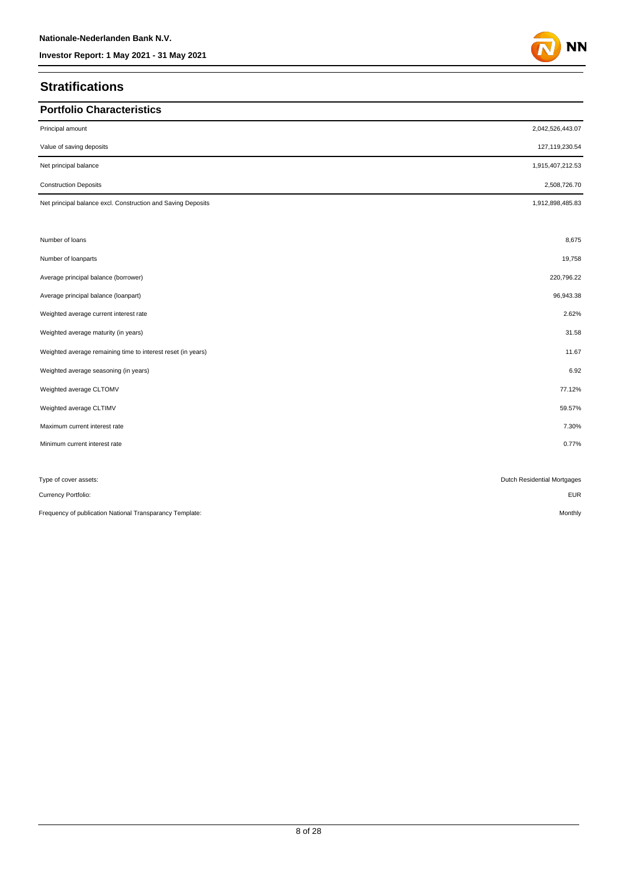## **Stratifications**

| <b>Portfolio Characteristics</b>                             |                             |
|--------------------------------------------------------------|-----------------------------|
| Principal amount                                             | 2,042,526,443.07            |
| Value of saving deposits                                     | 127,119,230.54              |
| Net principal balance                                        | 1,915,407,212.53            |
| <b>Construction Deposits</b>                                 | 2,508,726.70                |
| Net principal balance excl. Construction and Saving Deposits | 1,912,898,485.83            |
| Number of loans                                              | 8,675                       |
| Number of loanparts                                          | 19,758                      |
| Average principal balance (borrower)                         | 220,796.22                  |
| Average principal balance (loanpart)                         | 96,943.38                   |
| Weighted average current interest rate                       | 2.62%                       |
| Weighted average maturity (in years)                         | 31.58                       |
| Weighted average remaining time to interest reset (in years) | 11.67                       |
| Weighted average seasoning (in years)                        | 6.92                        |
| Weighted average CLTOMV                                      | 77.12%                      |
| Weighted average CLTIMV                                      | 59.57%                      |
| Maximum current interest rate                                | 7.30%                       |
| Minimum current interest rate                                | 0.77%                       |
| Type of cover assets:                                        | Dutch Residential Mortgages |
| Currency Portfolio:                                          | <b>EUR</b>                  |
| Frequency of publication National Transparancy Template:     | Monthly                     |

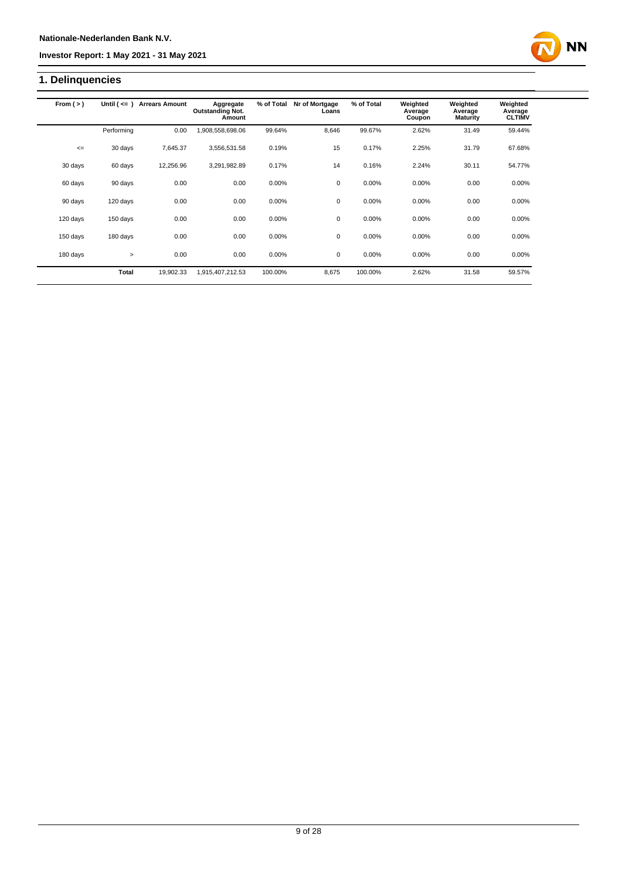# **1. Delinquencies**

| From $(>)$ | Until $($ $\leq$ $=$ $)$ | <b>Arrears Amount</b> | Aggregate<br><b>Outstanding Not.</b><br>Amount | % of Total | Nr of Mortgage<br>Loans | % of Total | Weighted<br>Average<br>Coupon | Weighted<br>Average<br><b>Maturity</b> | Weighted<br>Average<br><b>CLTIMV</b> |
|------------|--------------------------|-----------------------|------------------------------------------------|------------|-------------------------|------------|-------------------------------|----------------------------------------|--------------------------------------|
|            | Performing               | 0.00                  | 1,908,558,698.06                               | 99.64%     | 8,646                   | 99.67%     | 2.62%                         | 31.49                                  | 59.44%                               |
|            |                          |                       |                                                |            |                         |            |                               |                                        |                                      |
| $\leq$     | 30 days                  | 7,645.37              | 3,556,531.58                                   | 0.19%      | 15                      | 0.17%      | 2.25%                         | 31.79                                  | 67.68%                               |
| 30 days    | 60 days                  | 12,256.96             | 3,291,982.89                                   | 0.17%      | 14                      | 0.16%      | 2.24%                         | 30.11                                  | 54.77%                               |
|            |                          |                       |                                                |            |                         |            |                               |                                        |                                      |
| 60 days    | 90 days                  | 0.00                  | 0.00                                           | 0.00%      | 0                       | 0.00%      | 0.00%                         | 0.00                                   | 0.00%                                |
| 90 days    | 120 days                 | 0.00                  | 0.00                                           | 0.00%      | $\mathbf 0$             | 0.00%      | 0.00%                         | 0.00                                   | 0.00%                                |
|            |                          |                       |                                                |            |                         |            |                               |                                        |                                      |
| 120 days   | 150 days                 | 0.00                  | 0.00                                           | 0.00%      | 0                       | 0.00%      | 0.00%                         | 0.00                                   | 0.00%                                |
| 150 days   | 180 days                 | 0.00                  | 0.00                                           | 0.00%      | $\mathbf 0$             | 0.00%      | 0.00%                         | 0.00                                   | 0.00%                                |
|            |                          |                       |                                                |            |                         |            |                               |                                        |                                      |
| 180 days   | $\geq$                   | 0.00                  | 0.00                                           | 0.00%      | 0                       | 0.00%      | 0.00%                         | 0.00                                   | 0.00%                                |
|            | <b>Total</b>             | 19,902.33             | 1,915,407,212.53                               | 100.00%    | 8,675                   | 100.00%    | 2.62%                         | 31.58                                  | 59.57%                               |

**NN**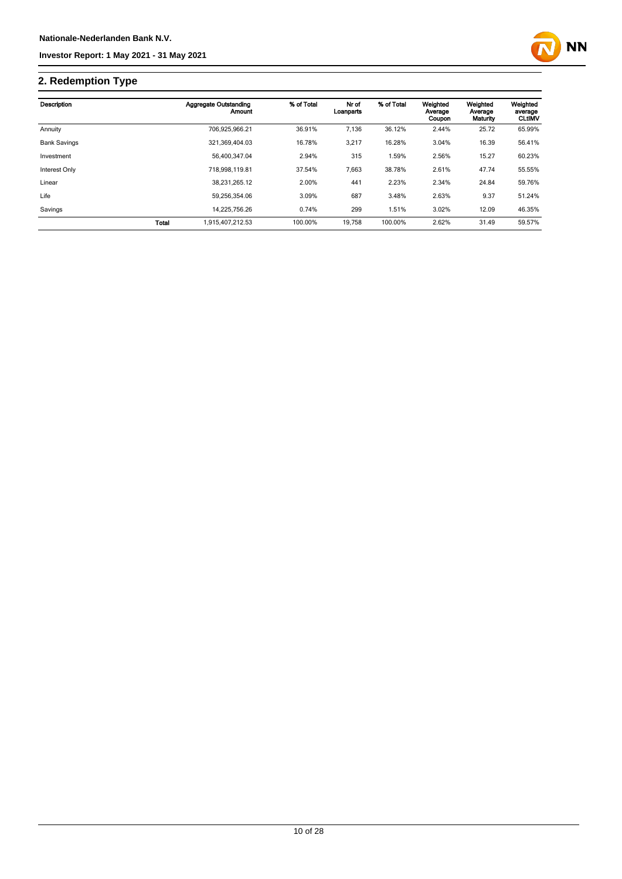# **2. Redemption Type**

| Description         |              | Aggregate Outstanding<br>Amount | % of Total | Nr of<br>Loanparts | % of Total | Weighted<br>Average<br>Coupon | Weighted<br>Average<br>Maturity | Weighted<br>average<br><b>CLtIMV</b> |
|---------------------|--------------|---------------------------------|------------|--------------------|------------|-------------------------------|---------------------------------|--------------------------------------|
| Annuity             |              | 706.925.966.21                  | 36.91%     | 7,136              | 36.12%     | 2.44%                         | 25.72                           | 65.99%                               |
| <b>Bank Savings</b> |              | 321,369,404.03                  | 16.78%     | 3,217              | 16.28%     | 3.04%                         | 16.39                           | 56.41%                               |
| Investment          |              | 56.400.347.04                   | 2.94%      | 315                | 1.59%      | 2.56%                         | 15.27                           | 60.23%                               |
| Interest Only       |              | 718.998.119.81                  | 37.54%     | 7,663              | 38.78%     | 2.61%                         | 47.74                           | 55.55%                               |
| Linear              |              | 38.231.265.12                   | 2.00%      | 441                | 2.23%      | 2.34%                         | 24.84                           | 59.76%                               |
| Life                |              | 59.256.354.06                   | 3.09%      | 687                | 3.48%      | 2.63%                         | 9.37                            | 51.24%                               |
| Savings             |              | 14,225,756.26                   | 0.74%      | 299                | 1.51%      | 3.02%                         | 12.09                           | 46.35%                               |
|                     | <b>Total</b> | 1.915.407.212.53                | 100.00%    | 19.758             | 100.00%    | 2.62%                         | 31.49                           | 59.57%                               |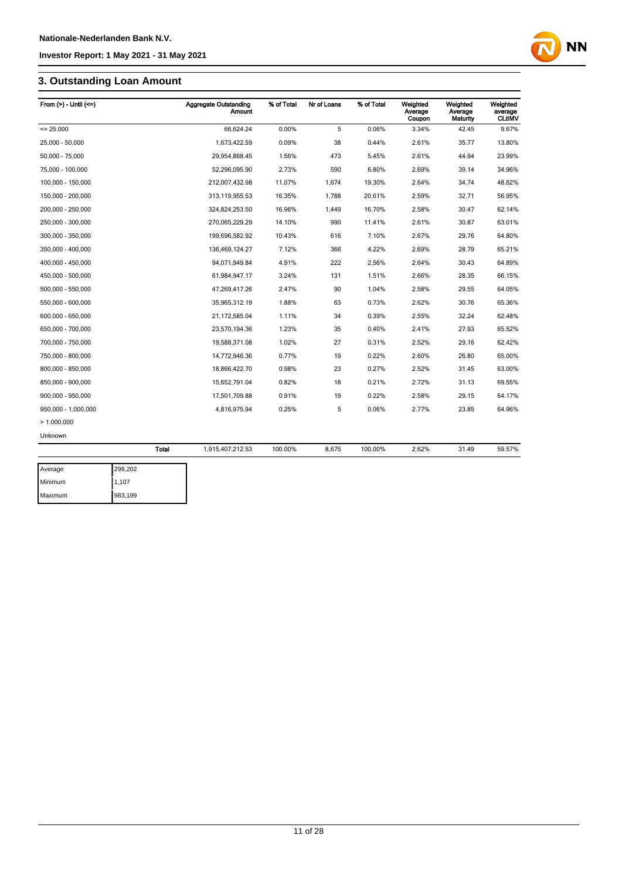## **3. Outstanding Loan Amount**

| From $(>)$ - Until $(<=)$ |         | <b>Aggregate Outstanding</b><br>Amount | % of Total | Nr of Loans | % of Total | Weighted<br>Average<br>Coupon | Weighted<br>Average<br><b>Maturity</b> | Weighted<br>average<br><b>CLtIMV</b> |
|---------------------------|---------|----------------------------------------|------------|-------------|------------|-------------------------------|----------------------------------------|--------------------------------------|
| $= 25.000$                |         | 66,624.24                              | 0.00%      | 5           | 0.06%      | 3.34%                         | 42.45                                  | 9.67%                                |
| 25,000 - 50,000           |         | 1,673,422.59                           | 0.09%      | 38          | 0.44%      | 2.61%                         | 35.77                                  | 13.80%                               |
| 50,000 - 75,000           |         | 29,954,868.45                          | 1.56%      | 473         | 5.45%      | 2.61%                         | 44.94                                  | 23.99%                               |
| 75,000 - 100,000          |         | 52,296,095.90                          | 2.73%      | 590         | 6.80%      | 2.69%                         | 39.14                                  | 34.96%                               |
| 100,000 - 150,000         |         | 212,007,432.98                         | 11.07%     | 1,674       | 19.30%     | 2.64%                         | 34.74                                  | 48.62%                               |
| 150,000 - 200,000         |         | 313,119,955.53                         | 16.35%     | 1,788       | 20.61%     | 2.59%                         | 32.71                                  | 56.95%                               |
| 200,000 - 250,000         |         | 324,824,253.50                         | 16.96%     | 1,449       | 16.70%     | 2.58%                         | 30.47                                  | 62.14%                               |
| 250,000 - 300,000         |         | 270,065,229.29                         | 14.10%     | 990         | 11.41%     | 2.61%                         | 30.87                                  | 63.01%                               |
| 300,000 - 350,000         |         | 199,696,582.92                         | 10.43%     | 616         | 7.10%      | 2.67%                         | 29.76                                  | 64.80%                               |
| 350,000 - 400,000         |         | 136,469,124.27                         | 7.12%      | 366         | 4.22%      | 2.69%                         | 28.79                                  | 65.21%                               |
| 400,000 - 450,000         |         | 94,071,949.84                          | 4.91%      | 222         | 2.56%      | 2.64%                         | 30.43                                  | 64.89%                               |
| 450,000 - 500,000         |         | 61,984,947.17                          | 3.24%      | 131         | 1.51%      | 2.66%                         | 28.35                                  | 66.15%                               |
| 500,000 - 550,000         |         | 47,269,417.26                          | 2.47%      | 90          | 1.04%      | 2.58%                         | 29.55                                  | 64.05%                               |
| 550,000 - 600,000         |         | 35,965,312.19                          | 1.88%      | 63          | 0.73%      | 2.62%                         | 30.76                                  | 65.36%                               |
| 600,000 - 650,000         |         | 21,172,585.04                          | 1.11%      | 34          | 0.39%      | 2.55%                         | 32.24                                  | 62.48%                               |
| 650,000 - 700,000         |         | 23,570,194.36                          | 1.23%      | 35          | 0.40%      | 2.41%                         | 27.93                                  | 65.52%                               |
| 700,000 - 750,000         |         | 19,588,371.08                          | 1.02%      | 27          | 0.31%      | 2.52%                         | 29.16                                  | 62.42%                               |
| 750,000 - 800,000         |         | 14,772,946.36                          | 0.77%      | 19          | 0.22%      | 2.60%                         | 26.80                                  | 65.00%                               |
| 800,000 - 850,000         |         | 18,866,422.70                          | 0.98%      | 23          | 0.27%      | 2.52%                         | 31.45                                  | 63.00%                               |
| 850,000 - 900,000         |         | 15,652,791.04                          | 0.82%      | 18          | 0.21%      | 2.72%                         | 31.13                                  | 69.55%                               |
| 900,000 - 950,000         |         | 17,501,709.88                          | 0.91%      | 19          | 0.22%      | 2.58%                         | 29.15                                  | 64.17%                               |
| 950,000 - 1,000,000       |         | 4,816,975.94                           | 0.25%      | 5           | 0.06%      | 2.77%                         | 23.85                                  | 64.96%                               |
| >1.000.000                |         |                                        |            |             |            |                               |                                        |                                      |
| Unknown                   |         |                                        |            |             |            |                               |                                        |                                      |
|                           | Total   | 1,915,407,212.53                       | 100.00%    | 8,675       | 100.00%    | 2.62%                         | 31.49                                  | 59.57%                               |
| Average                   | 298,202 |                                        |            |             |            |                               |                                        |                                      |

**NN** 

| Average | 298,202 |
|---------|---------|
| Minimum | 1,107   |
| Maximum | 983,199 |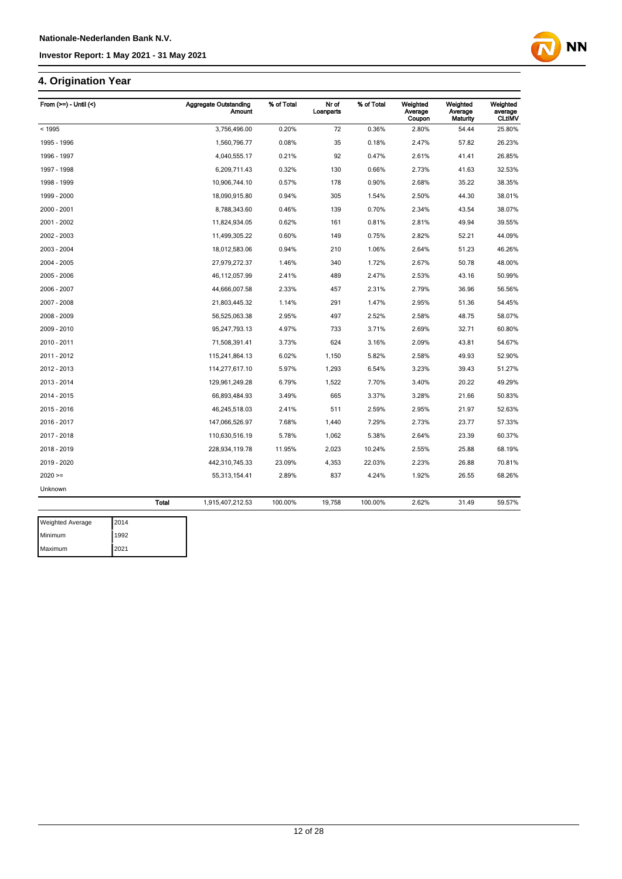## **4. Origination Year**

| From $(>=)$ - Until $($ | <b>Aggregate Outstanding</b><br><b>Amount</b> | % of Total | Nr of<br>Loanparts | % of Total | Weighted<br>Average<br>Coupon | Weighted<br>Average<br>Maturity | Weighted<br>average<br><b>CLtIMV</b> |
|-------------------------|-----------------------------------------------|------------|--------------------|------------|-------------------------------|---------------------------------|--------------------------------------|
| < 1995                  | 3,756,496.00                                  | 0.20%      | 72                 | 0.36%      | 2.80%                         | 54.44                           | 25.80%                               |
| 1995 - 1996             | 1,560,796.77                                  | 0.08%      | 35                 | 0.18%      | 2.47%                         | 57.82                           | 26.23%                               |
| 1996 - 1997             | 4,040,555.17                                  | 0.21%      | 92                 | 0.47%      | 2.61%                         | 41.41                           | 26.85%                               |
| 1997 - 1998             | 6,209,711.43                                  | 0.32%      | 130                | 0.66%      | 2.73%                         | 41.63                           | 32.53%                               |
| 1998 - 1999             | 10,906,744.10                                 | 0.57%      | 178                | 0.90%      | 2.68%                         | 35.22                           | 38.35%                               |
| 1999 - 2000             | 18,090,915.80                                 | 0.94%      | 305                | 1.54%      | 2.50%                         | 44.30                           | 38.01%                               |
| 2000 - 2001             | 8,788,343.60                                  | 0.46%      | 139                | 0.70%      | 2.34%                         | 43.54                           | 38.07%                               |
| 2001 - 2002             | 11,824,934.05                                 | 0.62%      | 161                | 0.81%      | 2.81%                         | 49.94                           | 39.55%                               |
| 2002 - 2003             | 11,499,305.22                                 | 0.60%      | 149                | 0.75%      | 2.82%                         | 52.21                           | 44.09%                               |
| 2003 - 2004             | 18,012,583.06                                 | 0.94%      | 210                | 1.06%      | 2.64%                         | 51.23                           | 46.26%                               |
| 2004 - 2005             | 27,979,272.37                                 | 1.46%      | 340                | 1.72%      | 2.67%                         | 50.78                           | 48.00%                               |
| 2005 - 2006             | 46,112,057.99                                 | 2.41%      | 489                | 2.47%      | 2.53%                         | 43.16                           | 50.99%                               |
| 2006 - 2007             | 44,666,007.58                                 | 2.33%      | 457                | 2.31%      | 2.79%                         | 36.96                           | 56.56%                               |
| 2007 - 2008             | 21,803,445.32                                 | 1.14%      | 291                | 1.47%      | 2.95%                         | 51.36                           | 54.45%                               |
| 2008 - 2009             | 56,525,063.38                                 | 2.95%      | 497                | 2.52%      | 2.58%                         | 48.75                           | 58.07%                               |
| 2009 - 2010             | 95,247,793.13                                 | 4.97%      | 733                | 3.71%      | 2.69%                         | 32.71                           | 60.80%                               |
| 2010 - 2011             | 71,508,391.41                                 | 3.73%      | 624                | 3.16%      | 2.09%                         | 43.81                           | 54.67%                               |
| 2011 - 2012             | 115,241,864.13                                | 6.02%      | 1,150              | 5.82%      | 2.58%                         | 49.93                           | 52.90%                               |
| 2012 - 2013             | 114,277,617.10                                | 5.97%      | 1,293              | 6.54%      | 3.23%                         | 39.43                           | 51.27%                               |
| 2013 - 2014             | 129,961,249.28                                | 6.79%      | 1,522              | 7.70%      | 3.40%                         | 20.22                           | 49.29%                               |
| 2014 - 2015             | 66,893,484.93                                 | 3.49%      | 665                | 3.37%      | 3.28%                         | 21.66                           | 50.83%                               |
| 2015 - 2016             | 46,245,518.03                                 | 2.41%      | 511                | 2.59%      | 2.95%                         | 21.97                           | 52.63%                               |
| 2016 - 2017             | 147,066,526.97                                | 7.68%      | 1,440              | 7.29%      | 2.73%                         | 23.77                           | 57.33%                               |
| 2017 - 2018             | 110,630,516.19                                | 5.78%      | 1,062              | 5.38%      | 2.64%                         | 23.39                           | 60.37%                               |
| 2018 - 2019             | 228,934,119.78                                | 11.95%     | 2,023              | 10.24%     | 2.55%                         | 25.88                           | 68.19%                               |
| 2019 - 2020             | 442,310,745.33                                | 23.09%     | 4,353              | 22.03%     | 2.23%                         | 26.88                           | 70.81%                               |
| $2020 =$                | 55,313,154.41                                 | 2.89%      | 837                | 4.24%      | 1.92%                         | 26.55                           | 68.26%                               |
| Unknown                 |                                               |            |                    |            |                               |                                 |                                      |
|                         | <b>Total</b><br>1,915,407,212.53              | 100.00%    | 19,758             | 100.00%    | 2.62%                         | 31.49                           | 59.57%                               |

**NN** 

| <b>Weighted Average</b> | 2014 |
|-------------------------|------|
| <b>Minimum</b>          | 1992 |
| Maximum                 | 2021 |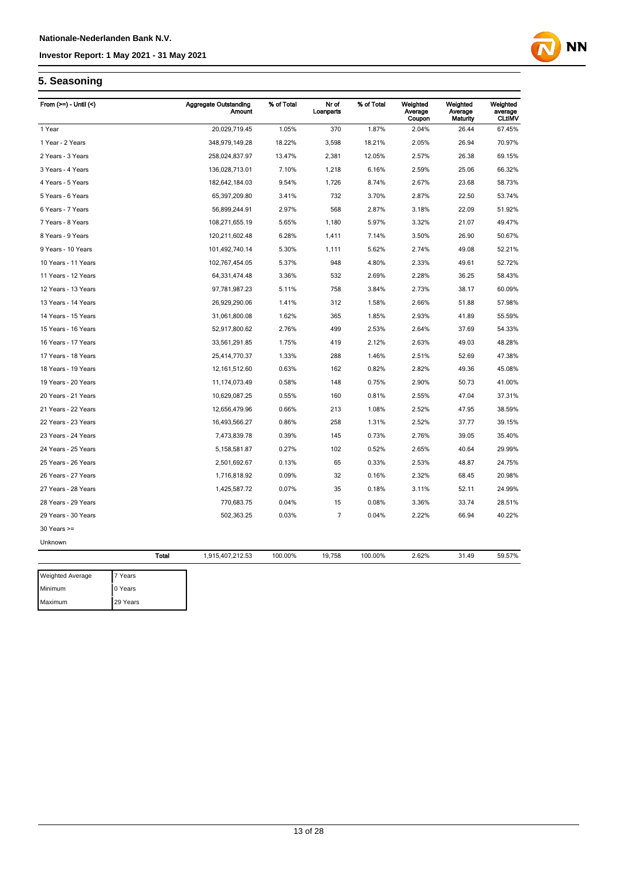# **NN**

## **5. Seasoning**

| From $(>=)$ - Until $($ |              | <b>Aggregate Outstanding</b><br>Amount | % of Total | Nr of<br>Loanparts | % of Total | Weighted<br>Average<br>Coupon | Weighted<br>Average<br>Maturity | Weighted<br>average<br><b>CLtIMV</b> |
|-------------------------|--------------|----------------------------------------|------------|--------------------|------------|-------------------------------|---------------------------------|--------------------------------------|
| 1 Year                  |              | 20,029,719.45                          | 1.05%      | 370                | 1.87%      | 2.04%                         | 26.44                           | 67.45%                               |
| 1 Year - 2 Years        |              | 348,979,149.28                         | 18.22%     | 3,598              | 18.21%     | 2.05%                         | 26.94                           | 70.97%                               |
| 2 Years - 3 Years       |              | 258,024,837.97                         | 13.47%     | 2,381              | 12.05%     | 2.57%                         | 26.38                           | 69.15%                               |
| 3 Years - 4 Years       |              | 136,028,713.01                         | 7.10%      | 1,218              | 6.16%      | 2.59%                         | 25.06                           | 66.32%                               |
| 4 Years - 5 Years       |              | 182,642,184.03                         | 9.54%      | 1,726              | 8.74%      | 2.67%                         | 23.68                           | 58.73%                               |
| 5 Years - 6 Years       |              | 65,397,209.80                          | 3.41%      | 732                | 3.70%      | 2.87%                         | 22.50                           | 53.74%                               |
| 6 Years - 7 Years       |              | 56,899,244.91                          | 2.97%      | 568                | 2.87%      | 3.18%                         | 22.09                           | 51.92%                               |
| 7 Years - 8 Years       |              | 108,271,655.19                         | 5.65%      | 1,180              | 5.97%      | 3.32%                         | 21.07                           | 49.47%                               |
| 8 Years - 9 Years       |              | 120,211,602.48                         | 6.28%      | 1,411              | 7.14%      | 3.50%                         | 26.90                           | 50.67%                               |
| 9 Years - 10 Years      |              | 101,492,740.14                         | 5.30%      | 1,111              | 5.62%      | 2.74%                         | 49.08                           | 52.21%                               |
| 10 Years - 11 Years     |              | 102,767,454.05                         | 5.37%      | 948                | 4.80%      | 2.33%                         | 49.61                           | 52.72%                               |
| 11 Years - 12 Years     |              | 64,331,474.48                          | 3.36%      | 532                | 2.69%      | 2.28%                         | 36.25                           | 58.43%                               |
| 12 Years - 13 Years     |              | 97,781,987.23                          | 5.11%      | 758                | 3.84%      | 2.73%                         | 38.17                           | 60.09%                               |
| 13 Years - 14 Years     |              | 26,929,290.06                          | 1.41%      | 312                | 1.58%      | 2.66%                         | 51.88                           | 57.98%                               |
| 14 Years - 15 Years     |              | 31,061,800.08                          | 1.62%      | 365                | 1.85%      | 2.93%                         | 41.89                           | 55.59%                               |
| 15 Years - 16 Years     |              | 52,917,800.62                          | 2.76%      | 499                | 2.53%      | 2.64%                         | 37.69                           | 54.33%                               |
| 16 Years - 17 Years     |              | 33,561,291.85                          | 1.75%      | 419                | 2.12%      | 2.63%                         | 49.03                           | 48.28%                               |
| 17 Years - 18 Years     |              | 25,414,770.37                          | 1.33%      | 288                | 1.46%      | 2.51%                         | 52.69                           | 47.38%                               |
| 18 Years - 19 Years     |              | 12, 161, 512.60                        | 0.63%      | 162                | 0.82%      | 2.82%                         | 49.36                           | 45.08%                               |
| 19 Years - 20 Years     |              | 11,174,073.49                          | 0.58%      | 148                | 0.75%      | 2.90%                         | 50.73                           | 41.00%                               |
| 20 Years - 21 Years     |              | 10,629,087.25                          | 0.55%      | 160                | 0.81%      | 2.55%                         | 47.04                           | 37.31%                               |
| 21 Years - 22 Years     |              | 12,656,479.96                          | 0.66%      | 213                | 1.08%      | 2.52%                         | 47.95                           | 38.59%                               |
| 22 Years - 23 Years     |              | 16,493,566.27                          | 0.86%      | 258                | 1.31%      | 2.52%                         | 37.77                           | 39.15%                               |
| 23 Years - 24 Years     |              | 7,473,839.78                           | 0.39%      | 145                | 0.73%      | 2.76%                         | 39.05                           | 35.40%                               |
| 24 Years - 25 Years     |              | 5,158,581.87                           | 0.27%      | 102                | 0.52%      | 2.65%                         | 40.64                           | 29.99%                               |
| 25 Years - 26 Years     |              | 2,501,692.67                           | 0.13%      | 65                 | 0.33%      | 2.53%                         | 48.87                           | 24.75%                               |
| 26 Years - 27 Years     |              | 1,716,818.92                           | 0.09%      | 32                 | 0.16%      | 2.32%                         | 68.45                           | 20.98%                               |
| 27 Years - 28 Years     |              | 1,425,587.72                           | 0.07%      | 35                 | 0.18%      | 3.11%                         | 52.11                           | 24.99%                               |
| 28 Years - 29 Years     |              | 770,683.75                             | 0.04%      | 15                 | 0.08%      | 3.36%                         | 33.74                           | 28.51%                               |
| 29 Years - 30 Years     |              | 502,363.25                             | 0.03%      | $\overline{7}$     | 0.04%      | 2.22%                         | 66.94                           | 40.22%                               |
| $30$ Years $>=$         |              |                                        |            |                    |            |                               |                                 |                                      |
| Unknown                 |              |                                        |            |                    |            |                               |                                 |                                      |
|                         | <b>Total</b> | 1,915,407,212.53                       | 100.00%    | 19,758             | 100.00%    | 2.62%                         | 31.49                           | 59.57%                               |
| <b>Weighted Average</b> | 7 Years      |                                        |            |                    |            |                               |                                 |                                      |
| Minimum                 | 0 Years      |                                        |            |                    |            |                               |                                 |                                      |

Maximum 29 Years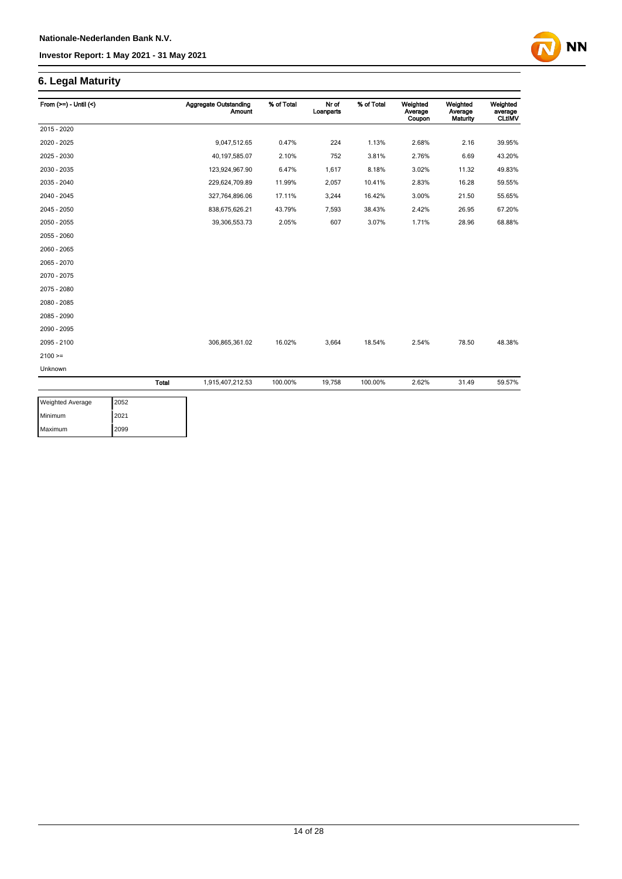## **6. Legal Maturity**

| From $(>=) -$ Until $($ |              | <b>Aggregate Outstanding</b><br><b>Amount</b> | % of Total | Nr of<br>Loanparts | % of Total | Weighted<br>Average<br>Coupon | Weighted<br>Average<br>Maturity | Weighted<br>average<br><b>CLtIMV</b> |
|-------------------------|--------------|-----------------------------------------------|------------|--------------------|------------|-------------------------------|---------------------------------|--------------------------------------|
| 2015 - 2020             |              |                                               |            |                    |            |                               |                                 |                                      |
| 2020 - 2025             |              | 9,047,512.65                                  | 0.47%      | 224                | 1.13%      | 2.68%                         | 2.16                            | 39.95%                               |
| 2025 - 2030             |              | 40,197,585.07                                 | 2.10%      | 752                | 3.81%      | 2.76%                         | 6.69                            | 43.20%                               |
| 2030 - 2035             |              | 123,924,967.90                                | 6.47%      | 1,617              | 8.18%      | 3.02%                         | 11.32                           | 49.83%                               |
| 2035 - 2040             |              | 229,624,709.89                                | 11.99%     | 2,057              | 10.41%     | 2.83%                         | 16.28                           | 59.55%                               |
| 2040 - 2045             |              | 327,764,896.06                                | 17.11%     | 3,244              | 16.42%     | 3.00%                         | 21.50                           | 55.65%                               |
| 2045 - 2050             |              | 838,675,626.21                                | 43.79%     | 7,593              | 38.43%     | 2.42%                         | 26.95                           | 67.20%                               |
| 2050 - 2055             |              | 39,306,553.73                                 | 2.05%      | 607                | 3.07%      | 1.71%                         | 28.96                           | 68.88%                               |
| 2055 - 2060             |              |                                               |            |                    |            |                               |                                 |                                      |
| 2060 - 2065             |              |                                               |            |                    |            |                               |                                 |                                      |
| 2065 - 2070             |              |                                               |            |                    |            |                               |                                 |                                      |
| 2070 - 2075             |              |                                               |            |                    |            |                               |                                 |                                      |
| 2075 - 2080             |              |                                               |            |                    |            |                               |                                 |                                      |
| 2080 - 2085             |              |                                               |            |                    |            |                               |                                 |                                      |
| 2085 - 2090             |              |                                               |            |                    |            |                               |                                 |                                      |
| 2090 - 2095             |              |                                               |            |                    |            |                               |                                 |                                      |
| 2095 - 2100             |              | 306,865,361.02                                | 16.02%     | 3,664              | 18.54%     | 2.54%                         | 78.50                           | 48.38%                               |
| $2100 =$                |              |                                               |            |                    |            |                               |                                 |                                      |
| Unknown                 |              |                                               |            |                    |            |                               |                                 |                                      |
|                         | <b>Total</b> | 1,915,407,212.53                              | 100.00%    | 19,758             | 100.00%    | 2.62%                         | 31.49                           | 59.57%                               |

**NN** 

| <b>Weighted Average</b> | 2052 |
|-------------------------|------|
| Minimum                 | 2021 |
| Maximum                 | 2099 |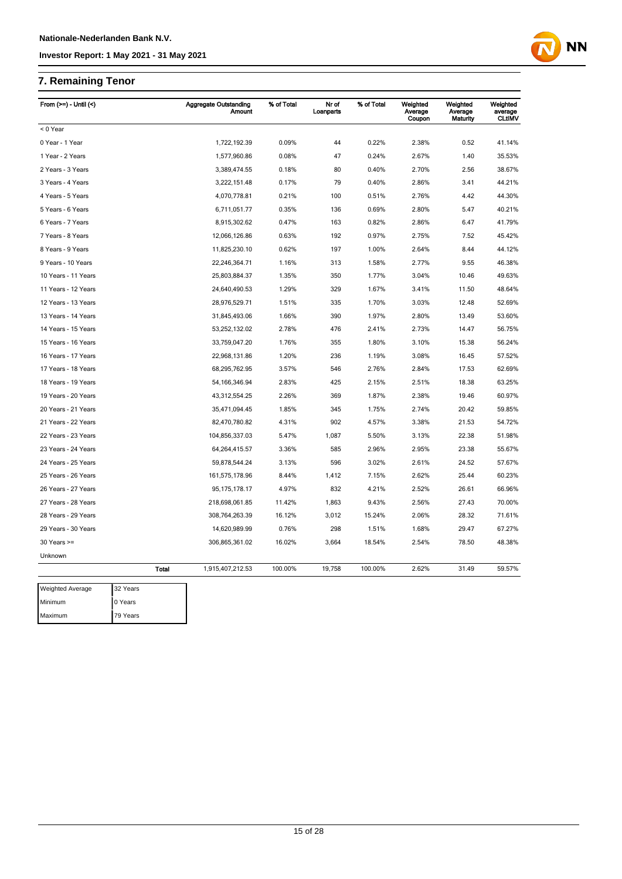## **7. Remaining Tenor**

Maximum 79 Years

| From $(>=)$ - Until $($ |              | <b>Aggregate Outstanding</b><br>Amount | % of Total | Nr of<br>Loanparts | % of Total | Weighted<br>Average<br>Coupon | Weighted<br>Average<br>Maturity | Weighted<br>average<br><b>CLtIMV</b> |
|-------------------------|--------------|----------------------------------------|------------|--------------------|------------|-------------------------------|---------------------------------|--------------------------------------|
| < 0 Year                |              |                                        |            |                    |            |                               |                                 |                                      |
| 0 Year - 1 Year         |              | 1,722,192.39                           | 0.09%      | 44                 | 0.22%      | 2.38%                         | 0.52                            | 41.14%                               |
| 1 Year - 2 Years        |              | 1,577,960.86                           | 0.08%      | 47                 | 0.24%      | 2.67%                         | 1.40                            | 35.53%                               |
| 2 Years - 3 Years       |              | 3,389,474.55                           | 0.18%      | 80                 | 0.40%      | 2.70%                         | 2.56                            | 38.67%                               |
| 3 Years - 4 Years       |              | 3,222,151.48                           | 0.17%      | 79                 | 0.40%      | 2.86%                         | 3.41                            | 44.21%                               |
| 4 Years - 5 Years       |              | 4,070,778.81                           | 0.21%      | 100                | 0.51%      | 2.76%                         | 4.42                            | 44.30%                               |
| 5 Years - 6 Years       |              | 6,711,051.77                           | 0.35%      | 136                | 0.69%      | 2.80%                         | 5.47                            | 40.21%                               |
| 6 Years - 7 Years       |              | 8,915,302.62                           | 0.47%      | 163                | 0.82%      | 2.86%                         | 6.47                            | 41.79%                               |
| 7 Years - 8 Years       |              | 12,066,126.86                          | 0.63%      | 192                | 0.97%      | 2.75%                         | 7.52                            | 45.42%                               |
| 8 Years - 9 Years       |              | 11,825,230.10                          | 0.62%      | 197                | 1.00%      | 2.64%                         | 8.44                            | 44.12%                               |
| 9 Years - 10 Years      |              | 22,246,364.71                          | 1.16%      | 313                | 1.58%      | 2.77%                         | 9.55                            | 46.38%                               |
| 10 Years - 11 Years     |              | 25,803,884.37                          | 1.35%      | 350                | 1.77%      | 3.04%                         | 10.46                           | 49.63%                               |
| 11 Years - 12 Years     |              | 24,640,490.53                          | 1.29%      | 329                | 1.67%      | 3.41%                         | 11.50                           | 48.64%                               |
| 12 Years - 13 Years     |              | 28,976,529.71                          | 1.51%      | 335                | 1.70%      | 3.03%                         | 12.48                           | 52.69%                               |
| 13 Years - 14 Years     |              | 31,845,493.06                          | 1.66%      | 390                | 1.97%      | 2.80%                         | 13.49                           | 53.60%                               |
| 14 Years - 15 Years     |              | 53,252,132.02                          | 2.78%      | 476                | 2.41%      | 2.73%                         | 14.47                           | 56.75%                               |
| 15 Years - 16 Years     |              | 33,759,047.20                          | 1.76%      | 355                | 1.80%      | 3.10%                         | 15.38                           | 56.24%                               |
| 16 Years - 17 Years     |              | 22,968,131.86                          | 1.20%      | 236                | 1.19%      | 3.08%                         | 16.45                           | 57.52%                               |
| 17 Years - 18 Years     |              | 68,295,762.95                          | 3.57%      | 546                | 2.76%      | 2.84%                         | 17.53                           | 62.69%                               |
| 18 Years - 19 Years     |              | 54, 166, 346. 94                       | 2.83%      | 425                | 2.15%      | 2.51%                         | 18.38                           | 63.25%                               |
| 19 Years - 20 Years     |              | 43,312,554.25                          | 2.26%      | 369                | 1.87%      | 2.38%                         | 19.46                           | 60.97%                               |
| 20 Years - 21 Years     |              | 35,471,094.45                          | 1.85%      | 345                | 1.75%      | 2.74%                         | 20.42                           | 59.85%                               |
| 21 Years - 22 Years     |              | 82,470,780.82                          | 4.31%      | 902                | 4.57%      | 3.38%                         | 21.53                           | 54.72%                               |
| 22 Years - 23 Years     |              | 104,856,337.03                         | 5.47%      | 1,087              | 5.50%      | 3.13%                         | 22.38                           | 51.98%                               |
| 23 Years - 24 Years     |              | 64,264,415.57                          | 3.36%      | 585                | 2.96%      | 2.95%                         | 23.38                           | 55.67%                               |
| 24 Years - 25 Years     |              | 59,878,544.24                          | 3.13%      | 596                | 3.02%      | 2.61%                         | 24.52                           | 57.67%                               |
| 25 Years - 26 Years     |              | 161,575,178.96                         | 8.44%      | 1,412              | 7.15%      | 2.62%                         | 25.44                           | 60.23%                               |
| 26 Years - 27 Years     |              | 95, 175, 178. 17                       | 4.97%      | 832                | 4.21%      | 2.52%                         | 26.61                           | 66.96%                               |
| 27 Years - 28 Years     |              | 218,698,061.85                         | 11.42%     | 1,863              | 9.43%      | 2.56%                         | 27.43                           | 70.00%                               |
| 28 Years - 29 Years     |              | 308,764,263.39                         | 16.12%     | 3,012              | 15.24%     | 2.06%                         | 28.32                           | 71.61%                               |
| 29 Years - 30 Years     |              | 14,620,989.99                          | 0.76%      | 298                | 1.51%      | 1.68%                         | 29.47                           | 67.27%                               |
| $30$ Years $>=$         |              | 306,865,361.02                         | 16.02%     | 3,664              | 18.54%     | 2.54%                         | 78.50                           | 48.38%                               |
| Unknown                 |              |                                        |            |                    |            |                               |                                 |                                      |
|                         | <b>Total</b> | 1,915,407,212.53                       | 100.00%    | 19,758             | 100.00%    | 2.62%                         | 31.49                           | 59.57%                               |
| Weighted Average        | 32 Years     |                                        |            |                    |            |                               |                                 |                                      |
| Minimum                 | 0 Years      |                                        |            |                    |            |                               |                                 |                                      |

**NN** 

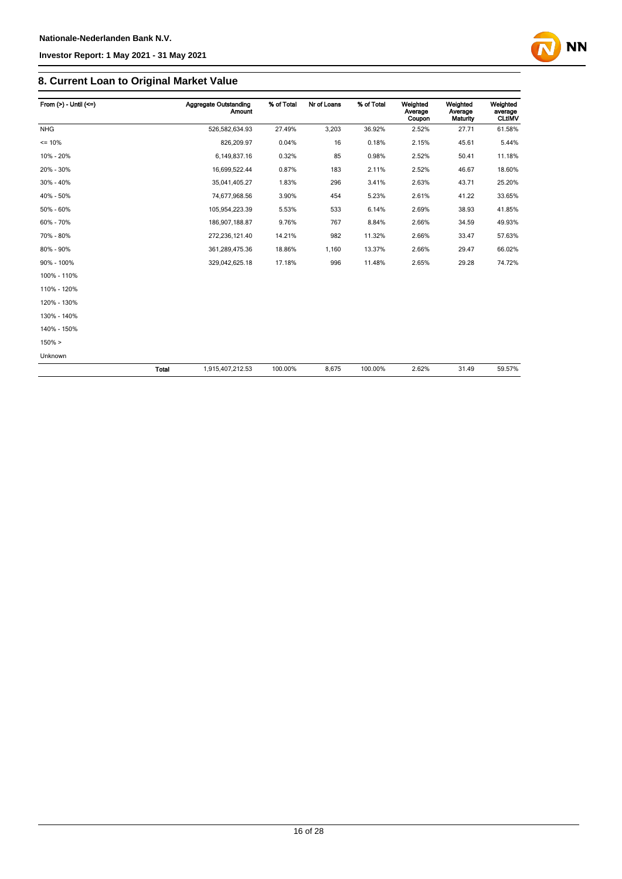

| From $(>)$ - Until $(<=)$ |       | Aggregate Outstanding<br><b>Amount</b> | % of Total | Nr of Loans | % of Total | Weighted<br>Average<br>Coupon | Weighted<br>Average<br>Maturity | Weighted<br>average<br><b>CLtIMV</b> |
|---------------------------|-------|----------------------------------------|------------|-------------|------------|-------------------------------|---------------------------------|--------------------------------------|
| <b>NHG</b>                |       | 526,582,634.93                         | 27.49%     | 3,203       | 36.92%     | 2.52%                         | 27.71                           | 61.58%                               |
| $= 10%$                   |       | 826,209.97                             | 0.04%      | 16          | 0.18%      | 2.15%                         | 45.61                           | 5.44%                                |
| 10% - 20%                 |       | 6,149,837.16                           | 0.32%      | 85          | 0.98%      | 2.52%                         | 50.41                           | 11.18%                               |
| 20% - 30%                 |       | 16,699,522.44                          | 0.87%      | 183         | 2.11%      | 2.52%                         | 46.67                           | 18.60%                               |
| 30% - 40%                 |       | 35,041,405.27                          | 1.83%      | 296         | 3.41%      | 2.63%                         | 43.71                           | 25.20%                               |
| 40% - 50%                 |       | 74,677,968.56                          | 3.90%      | 454         | 5.23%      | 2.61%                         | 41.22                           | 33.65%                               |
| 50% - 60%                 |       | 105,954,223.39                         | 5.53%      | 533         | 6.14%      | 2.69%                         | 38.93                           | 41.85%                               |
| 60% - 70%                 |       | 186,907,188.87                         | 9.76%      | 767         | 8.84%      | 2.66%                         | 34.59                           | 49.93%                               |
| 70% - 80%                 |       | 272,236,121.40                         | 14.21%     | 982         | 11.32%     | 2.66%                         | 33.47                           | 57.63%                               |
| 80% - 90%                 |       | 361,289,475.36                         | 18.86%     | 1,160       | 13.37%     | 2.66%                         | 29.47                           | 66.02%                               |
| 90% - 100%                |       | 329,042,625.18                         | 17.18%     | 996         | 11.48%     | 2.65%                         | 29.28                           | 74.72%                               |
| 100% - 110%               |       |                                        |            |             |            |                               |                                 |                                      |
| 110% - 120%               |       |                                        |            |             |            |                               |                                 |                                      |
| 120% - 130%               |       |                                        |            |             |            |                               |                                 |                                      |
| 130% - 140%               |       |                                        |            |             |            |                               |                                 |                                      |
| 140% - 150%               |       |                                        |            |             |            |                               |                                 |                                      |
| $150\% >$                 |       |                                        |            |             |            |                               |                                 |                                      |
| Unknown                   |       |                                        |            |             |            |                               |                                 |                                      |
|                           | Total | 1,915,407,212.53                       | 100.00%    | 8,675       | 100.00%    | 2.62%                         | 31.49                           | 59.57%                               |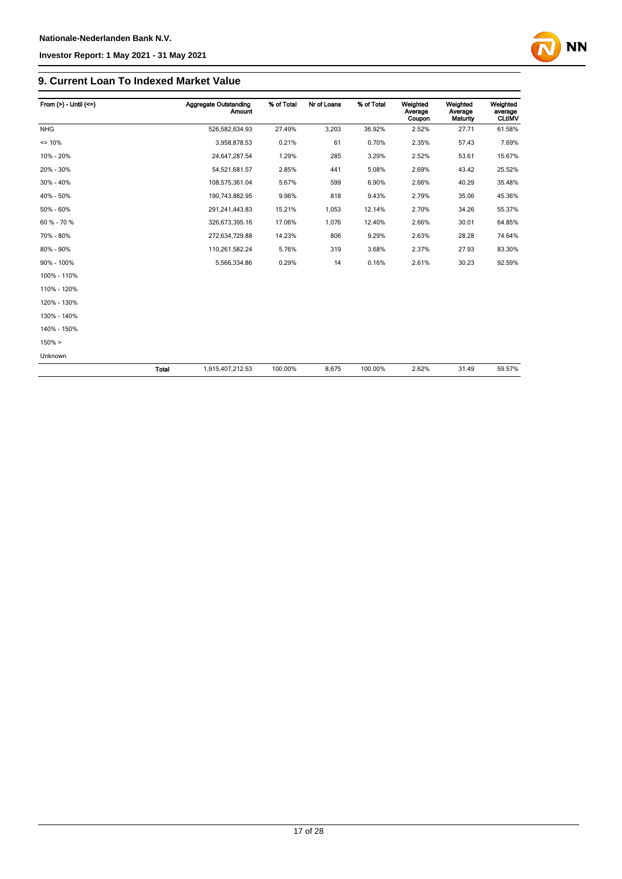

| From $(>)$ - Until $(<=)$ |              | Aggregate Outstanding<br><b>Amount</b> | % of Total | Nr of Loans | % of Total | Weighted<br>Average<br>Coupon | Weighted<br>Average<br>Maturity | Weighted<br>average<br><b>CLtIMV</b> |
|---------------------------|--------------|----------------------------------------|------------|-------------|------------|-------------------------------|---------------------------------|--------------------------------------|
| <b>NHG</b>                |              | 526,582,634.93                         | 27.49%     | 3,203       | 36.92%     | 2.52%                         | 27.71                           | 61.58%                               |
| $= 10%$                   |              | 3,958,878.53                           | 0.21%      | 61          | 0.70%      | 2.35%                         | 57.43                           | 7.69%                                |
| 10% - 20%                 |              | 24,647,287.54                          | 1.29%      | 285         | 3.29%      | 2.52%                         | 53.61                           | 15.67%                               |
| 20% - 30%                 |              | 54,521,681.57                          | 2.85%      | 441         | 5.08%      | 2.69%                         | 43.42                           | 25.52%                               |
| 30% - 40%                 |              | 108,575,361.04                         | 5.67%      | 599         | 6.90%      | 2.66%                         | 40.29                           | 35.48%                               |
| 40% - 50%                 |              | 190,743,882.95                         | 9.96%      | 818         | 9.43%      | 2.79%                         | 35.06                           | 45.36%                               |
| 50% - 60%                 |              | 291,241,443.83                         | 15.21%     | 1,053       | 12.14%     | 2.70%                         | 34.26                           | 55.37%                               |
| 60 % - 70 %               |              | 326,673,395.16                         | 17.06%     | 1,076       | 12.40%     | 2.66%                         | 30.01                           | 64.85%                               |
| 70% - 80%                 |              | 272,634,729.88                         | 14.23%     | 806         | 9.29%      | 2.63%                         | 28.28                           | 74.64%                               |
| 80% - 90%                 |              | 110,261,582.24                         | 5.76%      | 319         | 3.68%      | 2.37%                         | 27.93                           | 83.30%                               |
| 90% - 100%                |              | 5,566,334.86                           | 0.29%      | 14          | 0.16%      | 2.61%                         | 30.23                           | 92.59%                               |
| 100% - 110%               |              |                                        |            |             |            |                               |                                 |                                      |
| 110% - 120%               |              |                                        |            |             |            |                               |                                 |                                      |
| 120% - 130%               |              |                                        |            |             |            |                               |                                 |                                      |
| 130% - 140%               |              |                                        |            |             |            |                               |                                 |                                      |
| 140% - 150%               |              |                                        |            |             |            |                               |                                 |                                      |
| 150% >                    |              |                                        |            |             |            |                               |                                 |                                      |
| Unknown                   |              |                                        |            |             |            |                               |                                 |                                      |
|                           | <b>Total</b> | 1,915,407,212.53                       | 100.00%    | 8,675       | 100.00%    | 2.62%                         | 31.49                           | 59.57%                               |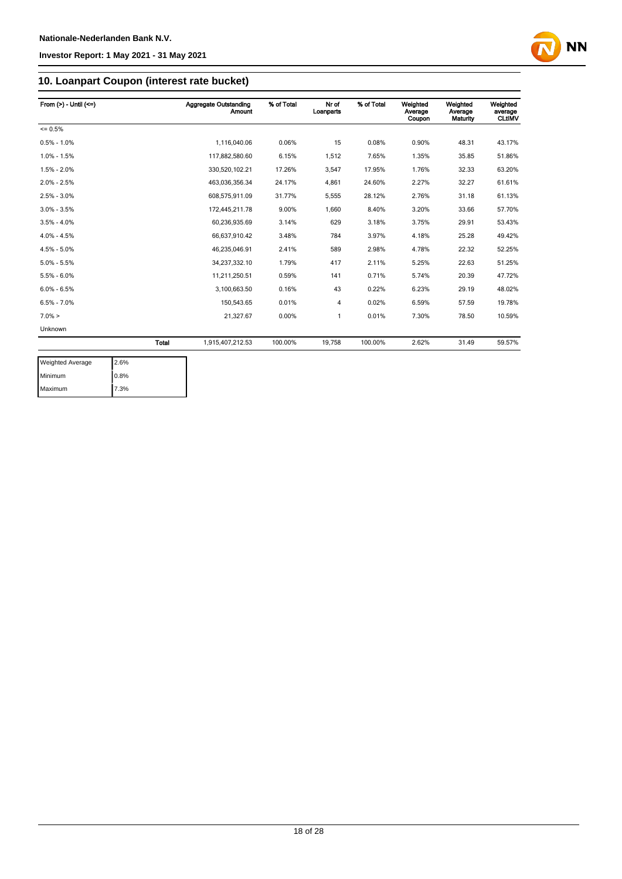

## **10. Loanpart Coupon (interest rate bucket)**

| From $(>) -$ Until $(<=)$ |              | <b>Aggregate Outstanding</b><br><b>Amount</b> | % of Total | Nr of<br>Loanparts | % of Total | Weighted<br>Average<br>Coupon | Weighted<br>Average<br>Maturity | Weighted<br>average<br><b>CLtIMV</b> |
|---------------------------|--------------|-----------------------------------------------|------------|--------------------|------------|-------------------------------|---------------------------------|--------------------------------------|
| $= 0.5%$                  |              |                                               |            |                    |            |                               |                                 |                                      |
| $0.5\% - 1.0\%$           |              | 1,116,040.06                                  | 0.06%      | 15                 | 0.08%      | 0.90%                         | 48.31                           | 43.17%                               |
| $1.0\% - 1.5\%$           |              | 117,882,580.60                                | 6.15%      | 1,512              | 7.65%      | 1.35%                         | 35.85                           | 51.86%                               |
| $1.5\% - 2.0\%$           |              | 330.520.102.21                                | 17.26%     | 3,547              | 17.95%     | 1.76%                         | 32.33                           | 63.20%                               |
| $2.0\% - 2.5\%$           |              | 463,036,356.34                                | 24.17%     | 4,861              | 24.60%     | 2.27%                         | 32.27                           | 61.61%                               |
| $2.5\% - 3.0\%$           |              | 608,575,911.09                                | 31.77%     | 5,555              | 28.12%     | 2.76%                         | 31.18                           | 61.13%                               |
| $3.0\% - 3.5\%$           |              | 172,445,211.78                                | 9.00%      | 1.660              | 8.40%      | 3.20%                         | 33.66                           | 57.70%                               |
| $3.5\% - 4.0\%$           |              | 60,236,935.69                                 | 3.14%      | 629                | 3.18%      | 3.75%                         | 29.91                           | 53.43%                               |
| $4.0\% - 4.5\%$           |              | 66,637,910.42                                 | 3.48%      | 784                | 3.97%      | 4.18%                         | 25.28                           | 49.42%                               |
| $4.5\% - 5.0\%$           |              | 46.235.046.91                                 | 2.41%      | 589                | 2.98%      | 4.78%                         | 22.32                           | 52.25%                               |
| $5.0\% - 5.5\%$           |              | 34,237,332.10                                 | 1.79%      | 417                | 2.11%      | 5.25%                         | 22.63                           | 51.25%                               |
| $5.5\% - 6.0\%$           |              | 11,211,250.51                                 | 0.59%      | 141                | 0.71%      | 5.74%                         | 20.39                           | 47.72%                               |
| $6.0\% - 6.5\%$           |              | 3,100,663.50                                  | 0.16%      | 43                 | 0.22%      | 6.23%                         | 29.19                           | 48.02%                               |
| $6.5\% - 7.0\%$           |              | 150,543.65                                    | 0.01%      | 4                  | 0.02%      | 6.59%                         | 57.59                           | 19.78%                               |
| $7.0\% >$                 |              | 21,327.67                                     | 0.00%      | 1                  | 0.01%      | 7.30%                         | 78.50                           | 10.59%                               |
| Unknown                   |              |                                               |            |                    |            |                               |                                 |                                      |
|                           | <b>Total</b> | 1,915,407,212.53                              | 100.00%    | 19,758             | 100.00%    | 2.62%                         | 31.49                           | 59.57%                               |

| <b>Weighted Average</b> | 2.6% |
|-------------------------|------|
| Minimum                 | 0.8% |
| Maximum                 | 7.3% |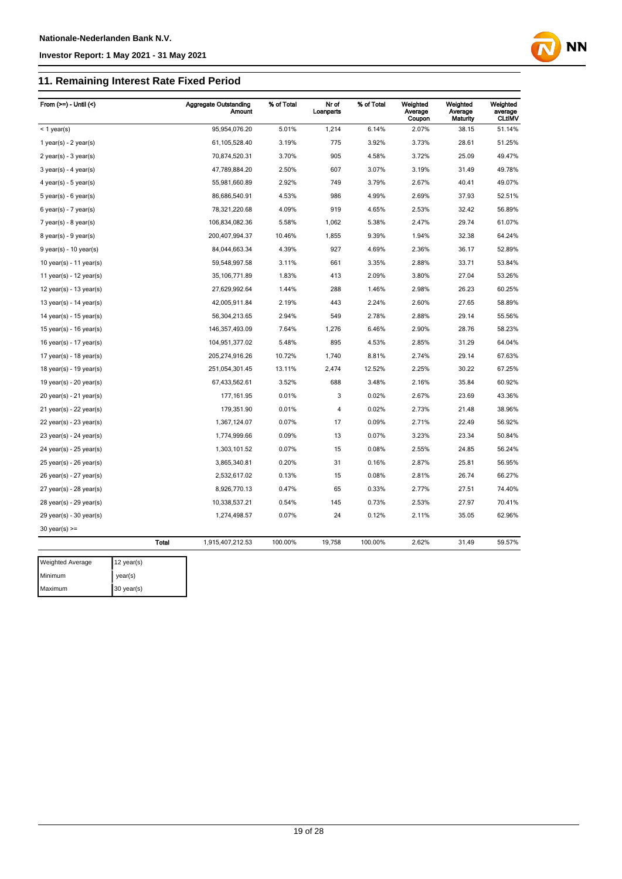Maximum 30 year(s)

#### **Investor Report: 1 May 2021 - 31 May 2021**

## **11. Remaining Interest Rate Fixed Period**

| From $(>=) -$ Until $($     |              | <b>Aggregate Outstanding</b><br>Amount | % of Total | Nr of<br>Loanparts | % of Total | Weighted<br>Average<br>Coupon | Weighted<br>Average<br>Maturity | Weighted<br>average<br><b>CLtIMV</b> |
|-----------------------------|--------------|----------------------------------------|------------|--------------------|------------|-------------------------------|---------------------------------|--------------------------------------|
| $<$ 1 year(s)               |              | 95,954,076.20                          | 5.01%      | 1,214              | 6.14%      | 2.07%                         | 38.15                           | 51.14%                               |
| 1 year(s) - $2$ year(s)     |              | 61,105,528.40                          | 3.19%      | 775                | 3.92%      | 3.73%                         | 28.61                           | 51.25%                               |
| $2$ year(s) - $3$ year(s)   |              | 70,874,520.31                          | 3.70%      | 905                | 4.58%      | 3.72%                         | 25.09                           | 49.47%                               |
| $3$ year(s) - 4 year(s)     |              | 47,789,884.20                          | 2.50%      | 607                | 3.07%      | 3.19%                         | 31.49                           | 49.78%                               |
| 4 year(s) - 5 year(s)       |              | 55,981,660.89                          | 2.92%      | 749                | 3.79%      | 2.67%                         | 40.41                           | 49.07%                               |
| $5$ year(s) - 6 year(s)     |              | 86,686,540.91                          | 4.53%      | 986                | 4.99%      | 2.69%                         | 37.93                           | 52.51%                               |
| $6$ year(s) - 7 year(s)     |              | 78,321,220.68                          | 4.09%      | 919                | 4.65%      | 2.53%                         | 32.42                           | 56.89%                               |
| $7$ year(s) - 8 year(s)     |              | 106,834,082.36                         | 5.58%      | 1,062              | 5.38%      | 2.47%                         | 29.74                           | 61.07%                               |
| $8$ year(s) - $9$ year(s)   |              | 200,407,994.37                         | 10.46%     | 1,855              | 9.39%      | 1.94%                         | 32.38                           | 64.24%                               |
| $9$ year(s) - 10 year(s)    |              | 84,044,663.34                          | 4.39%      | 927                | 4.69%      | 2.36%                         | 36.17                           | 52.89%                               |
| 10 year(s) - 11 year(s)     |              | 59,548,997.58                          | 3.11%      | 661                | 3.35%      | 2.88%                         | 33.71                           | 53.84%                               |
| 11 year(s) - $12$ year(s)   |              | 35, 106, 771.89                        | 1.83%      | 413                | 2.09%      | 3.80%                         | 27.04                           | 53.26%                               |
| 12 year(s) - 13 year(s)     |              | 27,629,992.64                          | 1.44%      | 288                | 1.46%      | 2.98%                         | 26.23                           | 60.25%                               |
| 13 year(s) - $14$ year(s)   |              | 42,005,911.84                          | 2.19%      | 443                | 2.24%      | 2.60%                         | 27.65                           | 58.89%                               |
| 14 year(s) - 15 year(s)     |              | 56,304,213.65                          | 2.94%      | 549                | 2.78%      | 2.88%                         | 29.14                           | 55.56%                               |
| 15 year(s) - 16 year(s)     |              | 146,357,493.09                         | 7.64%      | 1,276              | 6.46%      | 2.90%                         | 28.76                           | 58.23%                               |
| 16 year(s) - $17$ year(s)   |              | 104,951,377.02                         | 5.48%      | 895                | 4.53%      | 2.85%                         | 31.29                           | 64.04%                               |
| 17 year(s) - 18 year(s)     |              | 205,274,916.26                         | 10.72%     | 1,740              | 8.81%      | 2.74%                         | 29.14                           | 67.63%                               |
| 18 year(s) - 19 year(s)     |              | 251,054,301.45                         | 13.11%     | 2,474              | 12.52%     | 2.25%                         | 30.22                           | 67.25%                               |
| 19 year(s) - 20 year(s)     |              | 67,433,562.61                          | 3.52%      | 688                | 3.48%      | 2.16%                         | 35.84                           | 60.92%                               |
| 20 year(s) - 21 year(s)     |              | 177,161.95                             | 0.01%      | 3                  | 0.02%      | 2.67%                         | 23.69                           | 43.36%                               |
| $21$ year(s) - $22$ year(s) |              | 179,351.90                             | 0.01%      | $\overline{4}$     | 0.02%      | 2.73%                         | 21.48                           | 38.96%                               |
| $22$ year(s) - $23$ year(s) |              | 1,367,124.07                           | 0.07%      | 17                 | 0.09%      | 2.71%                         | 22.49                           | 56.92%                               |
| $23$ year(s) - $24$ year(s) |              | 1,774,999.66                           | 0.09%      | 13                 | 0.07%      | 3.23%                         | 23.34                           | 50.84%                               |
| $24$ year(s) - $25$ year(s) |              | 1,303,101.52                           | 0.07%      | 15                 | 0.08%      | 2.55%                         | 24.85                           | 56.24%                               |
| $25$ year(s) - $26$ year(s) |              | 3,865,340.81                           | 0.20%      | 31                 | 0.16%      | 2.87%                         | 25.81                           | 56.95%                               |
| 26 year(s) - 27 year(s)     |              | 2,532,617.02                           | 0.13%      | 15                 | 0.08%      | 2.81%                         | 26.74                           | 66.27%                               |
| 27 year(s) - 28 year(s)     |              | 8,926,770.13                           | 0.47%      | 65                 | 0.33%      | 2.77%                         | 27.51                           | 74.40%                               |
| 28 year(s) - 29 year(s)     |              | 10,338,537.21                          | 0.54%      | 145                | 0.73%      | 2.53%                         | 27.97                           | 70.41%                               |
| $29$ year(s) - 30 year(s)   |              | 1,274,498.57                           | 0.07%      | 24                 | 0.12%      | 2.11%                         | 35.05                           | 62.96%                               |
| $30$ year(s) $>=$           |              |                                        |            |                    |            |                               |                                 |                                      |
|                             | <b>Total</b> | 1,915,407,212.53                       | 100.00%    | 19,758             | 100.00%    | 2.62%                         | 31.49                           | 59.57%                               |
| <b>Weighted Average</b>     | 12 year(s)   |                                        |            |                    |            |                               |                                 |                                      |
| Minimum                     |              |                                        |            |                    |            |                               |                                 |                                      |
|                             | year(s)      |                                        |            |                    |            |                               |                                 |                                      |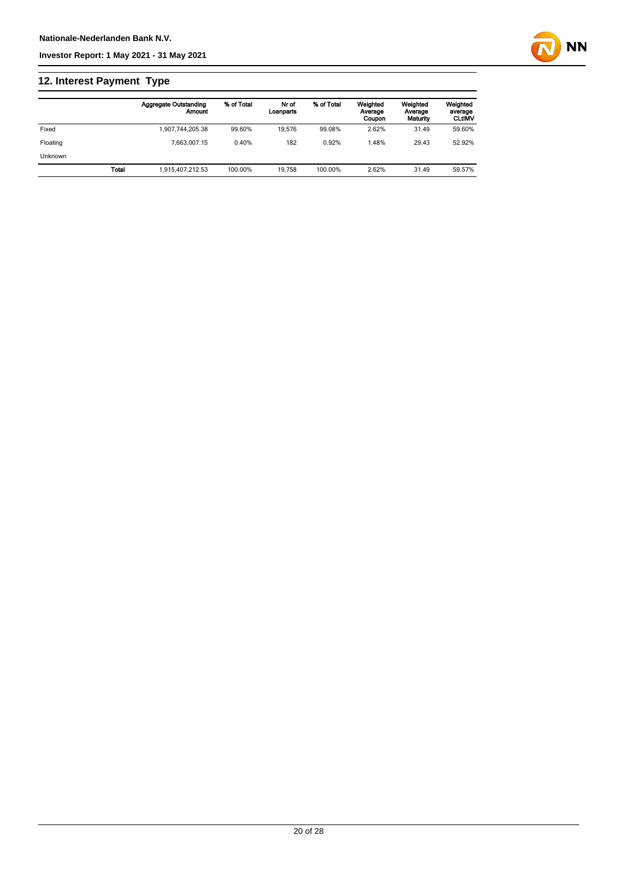

## **12. Interest Payment Type**

|          |       | <b>Aggregate Outstanding</b><br>Amount | % of Total | Nr of<br>Loanparts | % of Total | Weighted<br>Average<br>Coupon | Weighted<br>Average<br>Maturity | Weighted<br>average<br><b>CLtIMV</b> |
|----------|-------|----------------------------------------|------------|--------------------|------------|-------------------------------|---------------------------------|--------------------------------------|
| Fixed    |       | 1.907.744.205.38                       | 99.60%     | 19.576             | 99.08%     | 2.62%                         | 31.49                           | 59.60%                               |
| Floating |       | 7.663.007.15                           | 0.40%      | 182                | 0.92%      | .48%                          | 29.43                           | 52.92%                               |
| Unknown  |       |                                        |            |                    |            |                               |                                 |                                      |
|          | Total | 1.915.407.212.53                       | 100.00%    | 19.758             | 100.00%    | 2.62%                         | 31.49                           | 59.57%                               |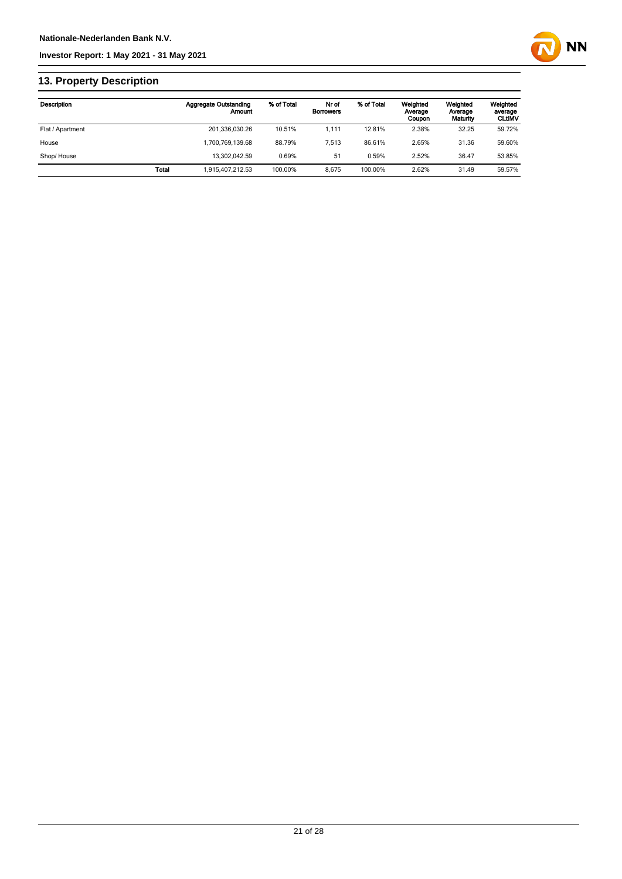

## **13. Property Description**

| Description      |              | <b>Aggregate Outstanding</b><br>Amount | % of Total | Nr of<br><b>Borrowers</b> | % of Total | Weighted<br>Average<br>Coupon | Weighted<br>Average<br>Maturity | Weighted<br>average<br><b>CLtIMV</b> |
|------------------|--------------|----------------------------------------|------------|---------------------------|------------|-------------------------------|---------------------------------|--------------------------------------|
| Flat / Apartment |              | 201,336,030.26                         | 10.51%     | 1.111                     | 12.81%     | 2.38%                         | 32.25                           | 59.72%                               |
| House            |              | 1,700,769,139.68                       | 88.79%     | 7.513                     | 86.61%     | 2.65%                         | 31.36                           | 59.60%                               |
| Shop/House       |              | 13.302.042.59                          | 0.69%      | 51                        | 0.59%      | 2.52%                         | 36.47                           | 53.85%                               |
|                  | <b>Total</b> | 1,915,407,212.53                       | 100.00%    | 8.675                     | 100.00%    | 2.62%                         | 31.49                           | 59.57%                               |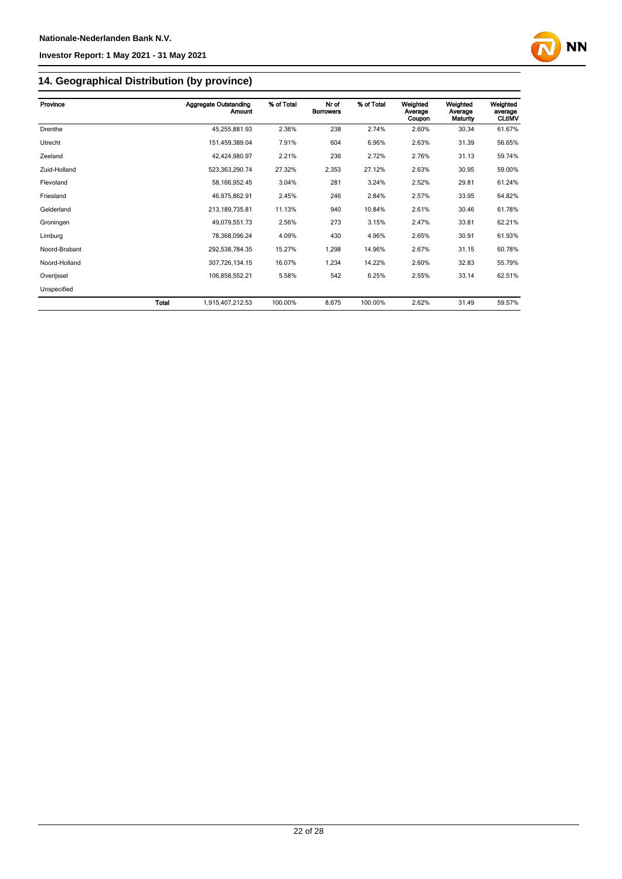

# **14. Geographical Distribution (by province)**

| Province      | <b>Aggregate Outstanding</b><br><b>Amount</b> | % of Total | Nr of<br><b>Borrowers</b> | % of Total | Weighted<br>Average<br>Coupon | Weighted<br>Average<br>Maturity | Weighted<br>average<br><b>CLtIMV</b> |
|---------------|-----------------------------------------------|------------|---------------------------|------------|-------------------------------|---------------------------------|--------------------------------------|
| Drenthe       | 45,255,881.93                                 | 2.36%      | 238                       | 2.74%      | 2.60%                         | 30.34                           | 61.67%                               |
| Utrecht       | 151,459,389.04                                | 7.91%      | 604                       | 6.96%      | 2.63%                         | 31.39                           | 56.65%                               |
| Zeeland       | 42,424,980.97                                 | 2.21%      | 236                       | 2.72%      | 2.76%                         | 31.13                           | 59.74%                               |
| Zuid-Holland  | 523,363,290.74                                | 27.32%     | 2,353                     | 27.12%     | 2.63%                         | 30.95                           | 59.00%                               |
| Flevoland     | 58, 166, 952.45                               | 3.04%      | 281                       | 3.24%      | 2.52%                         | 29.81                           | 61.24%                               |
| Friesland     | 46,975,862.91                                 | 2.45%      | 246                       | 2.84%      | 2.57%                         | 33.95                           | 64.82%                               |
| Gelderland    | 213, 189, 735.81                              | 11.13%     | 940                       | 10.84%     | 2.61%                         | 30.46                           | 61.78%                               |
| Groningen     | 49,079,551.73                                 | 2.56%      | 273                       | 3.15%      | 2.47%                         | 33.81                           | 62.21%                               |
| Limburg       | 78,368,096.24                                 | 4.09%      | 430                       | 4.96%      | 2.65%                         | 30.91                           | 61.93%                               |
| Noord-Brabant | 292,538,784.35                                | 15.27%     | 1,298                     | 14.96%     | 2.67%                         | 31.15                           | 60.78%                               |
| Noord-Holland | 307,726,134.15                                | 16.07%     | 1,234                     | 14.22%     | 2.60%                         | 32.83                           | 55.79%                               |
| Overijssel    | 106,858,552.21                                | 5.58%      | 542                       | 6.25%      | 2.55%                         | 33.14                           | 62.51%                               |
| Unspecified   |                                               |            |                           |            |                               |                                 |                                      |
|               | <b>Total</b><br>1,915,407,212.53              | 100.00%    | 8,675                     | 100.00%    | 2.62%                         | 31.49                           | 59.57%                               |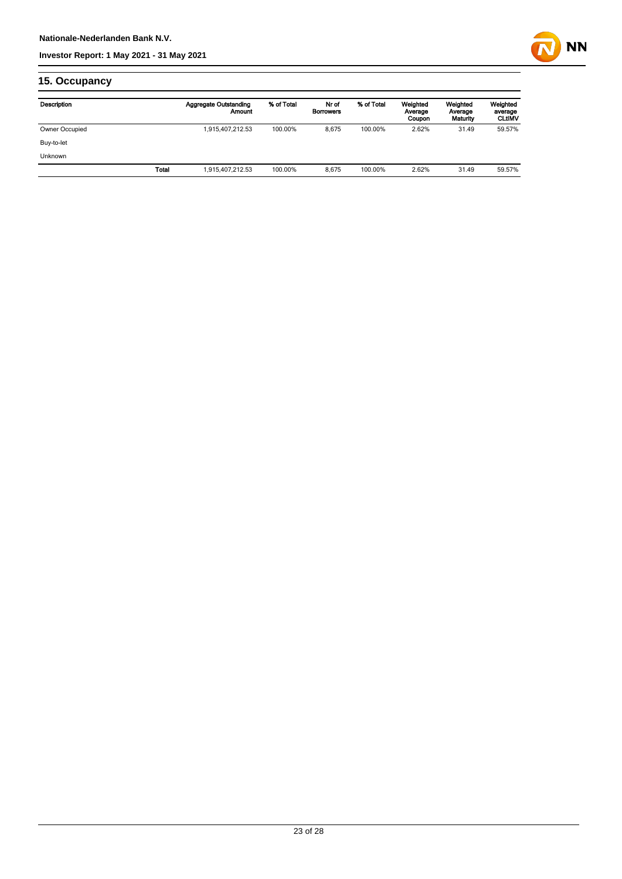

## **15. Occupancy**

| Description    |       | <b>Aggregate Outstanding</b><br>Amount | % of Total | Nr of<br><b>Borrowers</b> | % of Total | Weighted<br>Average<br>Coupon | Weighted<br>Average<br>Maturity | Weighted<br>average<br><b>CLtIMV</b> |
|----------------|-------|----------------------------------------|------------|---------------------------|------------|-------------------------------|---------------------------------|--------------------------------------|
| Owner Occupied |       | 1,915,407,212.53                       | 100.00%    | 8,675                     | 100.00%    | 2.62%                         | 31.49                           | 59.57%                               |
| Buy-to-let     |       |                                        |            |                           |            |                               |                                 |                                      |
| <b>Unknown</b> |       |                                        |            |                           |            |                               |                                 |                                      |
|                | Total | 1,915,407,212.53                       | 100.00%    | 8.675                     | 100.00%    | 2.62%                         | 31.49                           | 59.57%                               |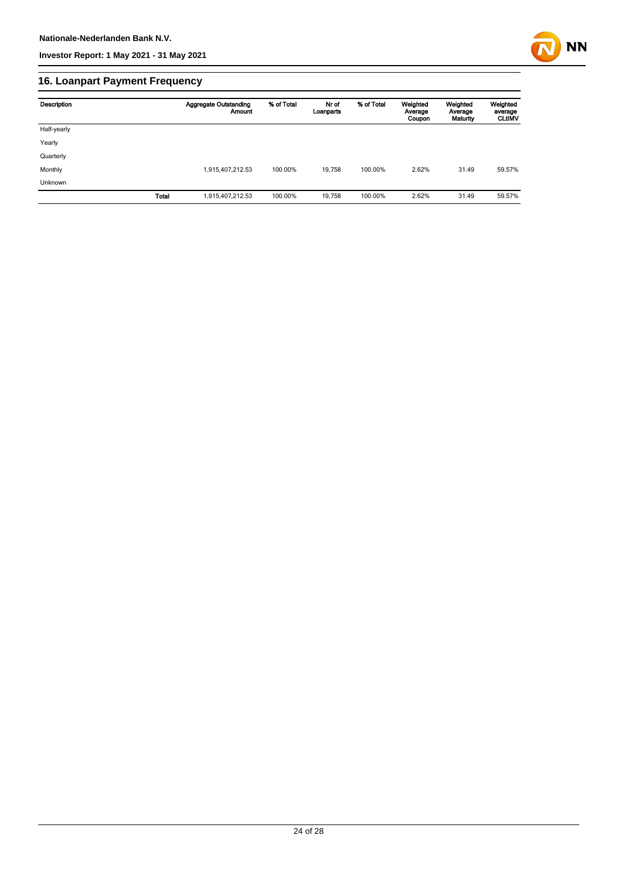

## **16. Loanpart Payment Frequency**

| Description    | <b>Aggregate Outstanding</b><br><b>Amount</b> | % of Total | Nr of<br>Loanparts | % of Total | Weighted<br>Average<br>Coupon | Weighted<br>Average<br>Maturity | Weighted<br>average<br><b>CLUMV</b> |
|----------------|-----------------------------------------------|------------|--------------------|------------|-------------------------------|---------------------------------|-------------------------------------|
| Half-yearly    |                                               |            |                    |            |                               |                                 |                                     |
| Yearly         |                                               |            |                    |            |                               |                                 |                                     |
| Quarterly      |                                               |            |                    |            |                               |                                 |                                     |
| Monthly        | 1,915,407,212.53                              | 100.00%    | 19.758             | 100.00%    | 2.62%                         | 31.49                           | 59.57%                              |
| <b>Unknown</b> |                                               |            |                    |            |                               |                                 |                                     |
| <b>Total</b>   | 1,915,407,212.53                              | 100.00%    | 19,758             | 100.00%    | 2.62%                         | 31.49                           | 59.57%                              |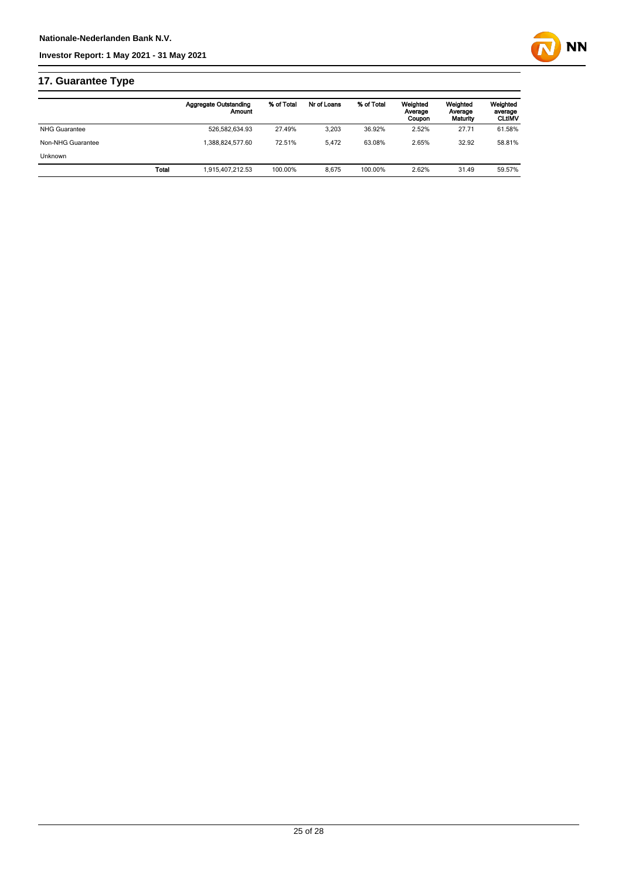



# **17. Guarantee Type**

|                      | <b>Aggregate Outstanding</b><br>Amount | % of Total | Nr of Loans | % of Total | Weighted<br>Average<br>Coupon | Weighted<br>Average<br>Maturity | Weighted<br>average<br><b>CLtIMV</b> |
|----------------------|----------------------------------------|------------|-------------|------------|-------------------------------|---------------------------------|--------------------------------------|
| <b>NHG Guarantee</b> | 526.582.634.93                         | 27.49%     | 3.203       | 36.92%     | 2.52%                         | 27.71                           | 61.58%                               |
| Non-NHG Guarantee    | .388.824.577.60                        | 72.51%     | 5.472       | 63.08%     | 2.65%                         | 32.92                           | 58.81%                               |
| <b>Unknown</b>       |                                        |            |             |            |                               |                                 |                                      |
|                      | Total<br>1.915.407.212.53              | 100.00%    | 8.675       | 100.00%    | 2.62%                         | 31.49                           | 59.57%                               |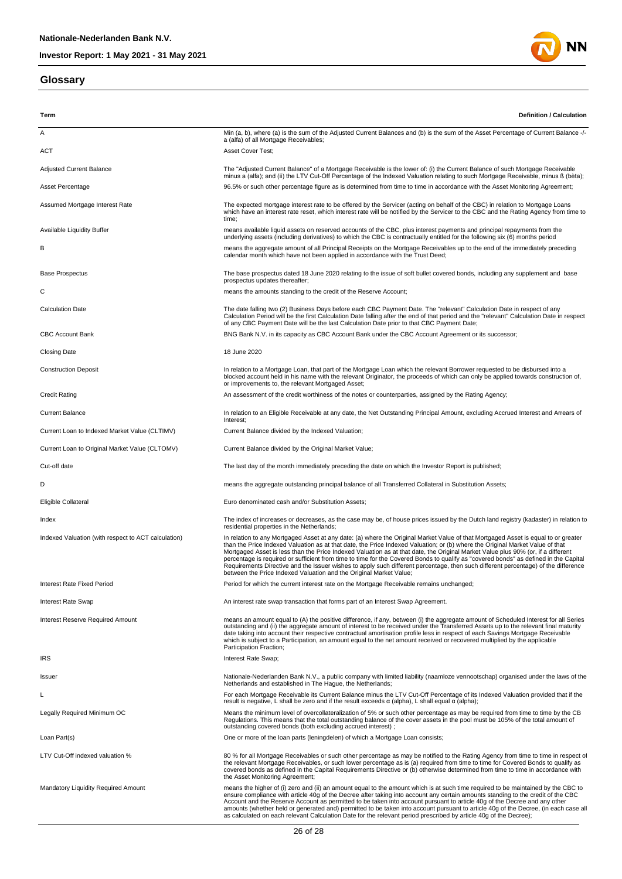### **Glossary**



| Term                                                | <b>Definition / Calculation</b>                                                                                                                                                                                                                                                                                                                                                                                                                                                                                                                                                                                                                                                                                                                             |
|-----------------------------------------------------|-------------------------------------------------------------------------------------------------------------------------------------------------------------------------------------------------------------------------------------------------------------------------------------------------------------------------------------------------------------------------------------------------------------------------------------------------------------------------------------------------------------------------------------------------------------------------------------------------------------------------------------------------------------------------------------------------------------------------------------------------------------|
| Α                                                   | Min (a, b), where (a) is the sum of the Adjusted Current Balances and (b) is the sum of the Asset Percentage of Current Balance -/-                                                                                                                                                                                                                                                                                                                                                                                                                                                                                                                                                                                                                         |
| ACT                                                 | a (alfa) of all Mortgage Receivables;<br>Asset Cover Test;                                                                                                                                                                                                                                                                                                                                                                                                                                                                                                                                                                                                                                                                                                  |
| <b>Adjusted Current Balance</b>                     | The "Adjusted Current Balance" of a Mortgage Receivable is the lower of: (i) the Current Balance of such Mortgage Receivable                                                                                                                                                                                                                                                                                                                                                                                                                                                                                                                                                                                                                                |
| Asset Percentage                                    | minus a (alfa); and (ii) the LTV Cut-Off Percentage of the Indexed Valuation relating to such Mortgage Receivable, minus ß (bèta);<br>96.5% or such other percentage figure as is determined from time to time in accordance with the Asset Monitoring Agreement;                                                                                                                                                                                                                                                                                                                                                                                                                                                                                           |
| Assumed Mortgage Interest Rate                      | The expected mortgage interest rate to be offered by the Servicer (acting on behalf of the CBC) in relation to Mortgage Loans<br>which have an interest rate reset, which interest rate will be notified by the Servicer to the CBC and the Rating Agency from time to<br>time;                                                                                                                                                                                                                                                                                                                                                                                                                                                                             |
| Available Liquidity Buffer                          | means available liquid assets on reserved accounts of the CBC, plus interest payments and principal repayments from the<br>underlying assets (including derivatives) to which the CBC is contractually entitled for the following six (6) months period                                                                                                                                                                                                                                                                                                                                                                                                                                                                                                     |
| в                                                   | means the aggregate amount of all Principal Receipts on the Mortgage Receivables up to the end of the immediately preceding<br>calendar month which have not been applied in accordance with the Trust Deed;                                                                                                                                                                                                                                                                                                                                                                                                                                                                                                                                                |
| <b>Base Prospectus</b>                              | The base prospectus dated 18 June 2020 relating to the issue of soft bullet covered bonds, including any supplement and base<br>prospectus updates thereafter;                                                                                                                                                                                                                                                                                                                                                                                                                                                                                                                                                                                              |
| С                                                   | means the amounts standing to the credit of the Reserve Account;                                                                                                                                                                                                                                                                                                                                                                                                                                                                                                                                                                                                                                                                                            |
| <b>Calculation Date</b>                             | The date falling two (2) Business Days before each CBC Payment Date. The "relevant" Calculation Date in respect of any<br>Calculation Period will be the first Calculation Date falling after the end of that period and the "relevant" Calculation Date in respect<br>of any CBC Payment Date will be the last Calculation Date prior to that CBC Payment Date;                                                                                                                                                                                                                                                                                                                                                                                            |
| <b>CBC Account Bank</b>                             | BNG Bank N.V. in its capacity as CBC Account Bank under the CBC Account Agreement or its successor;                                                                                                                                                                                                                                                                                                                                                                                                                                                                                                                                                                                                                                                         |
| <b>Closing Date</b>                                 | 18 June 2020                                                                                                                                                                                                                                                                                                                                                                                                                                                                                                                                                                                                                                                                                                                                                |
| <b>Construction Deposit</b>                         | In relation to a Mortgage Loan, that part of the Mortgage Loan which the relevant Borrower requested to be disbursed into a<br>blocked account held in his name with the relevant Originator, the proceeds of which can only be applied towards construction of,<br>or improvements to, the relevant Mortgaged Asset;                                                                                                                                                                                                                                                                                                                                                                                                                                       |
| <b>Credit Rating</b>                                | An assessment of the credit worthiness of the notes or counterparties, assigned by the Rating Agency;                                                                                                                                                                                                                                                                                                                                                                                                                                                                                                                                                                                                                                                       |
| <b>Current Balance</b>                              | In relation to an Eligible Receivable at any date, the Net Outstanding Principal Amount, excluding Accrued Interest and Arrears of<br>Interest;                                                                                                                                                                                                                                                                                                                                                                                                                                                                                                                                                                                                             |
| Current Loan to Indexed Market Value (CLTIMV)       | Current Balance divided by the Indexed Valuation;                                                                                                                                                                                                                                                                                                                                                                                                                                                                                                                                                                                                                                                                                                           |
| Current Loan to Original Market Value (CLTOMV)      | Current Balance divided by the Original Market Value;                                                                                                                                                                                                                                                                                                                                                                                                                                                                                                                                                                                                                                                                                                       |
| Cut-off date                                        | The last day of the month immediately preceding the date on which the Investor Report is published;                                                                                                                                                                                                                                                                                                                                                                                                                                                                                                                                                                                                                                                         |
| D                                                   | means the aggregate outstanding principal balance of all Transferred Collateral in Substitution Assets;                                                                                                                                                                                                                                                                                                                                                                                                                                                                                                                                                                                                                                                     |
| Eligible Collateral                                 | Euro denominated cash and/or Substitution Assets;                                                                                                                                                                                                                                                                                                                                                                                                                                                                                                                                                                                                                                                                                                           |
| Index                                               | The index of increases or decreases, as the case may be, of house prices issued by the Dutch land registry (kadaster) in relation to<br>residential properties in the Netherlands;                                                                                                                                                                                                                                                                                                                                                                                                                                                                                                                                                                          |
| Indexed Valuation (with respect to ACT calculation) | In relation to any Mortgaged Asset at any date: (a) where the Original Market Value of that Mortgaged Asset is equal to or greater<br>than the Price Indexed Valuation as at that date, the Price Indexed Valuation; or (b) where the Original Market Value of that<br>Mortgaged Asset is less than the Price Indexed Valuation as at that date, the Original Market Value plus 90% (or, if a different<br>percentage is required or sufficient from time to time for the Covered Bonds to qualify as "covered bonds" as defined in the Capital<br>Requirements Directive and the Issuer wishes to apply such different percentage, then such different percentage) of the difference<br>between the Price Indexed Valuation and the Original Market Value; |
| Interest Rate Fixed Period                          | Period for which the current interest rate on the Mortgage Receivable remains unchanged;                                                                                                                                                                                                                                                                                                                                                                                                                                                                                                                                                                                                                                                                    |
| Interest Rate Swap                                  | An interest rate swap transaction that forms part of an Interest Swap Agreement.                                                                                                                                                                                                                                                                                                                                                                                                                                                                                                                                                                                                                                                                            |
| <b>Interest Reserve Required Amount</b>             | means an amount equal to (A) the positive difference, if any, between (i) the aggregate amount of Scheduled Interest for all Series<br>outstanding and (ii) the aggregate amount of interest to be received under the Transferred Assets up to the relevant final maturity<br>date taking into account their respective contractual amortisation profile less in respect of each Savings Mortgage Receivable<br>which is subject to a Participation, an amount equal to the net amount received or recovered multiplied by the applicable<br>Participation Fraction;                                                                                                                                                                                        |
| <b>IRS</b>                                          | Interest Rate Swap;                                                                                                                                                                                                                                                                                                                                                                                                                                                                                                                                                                                                                                                                                                                                         |
| Issuer                                              | Nationale-Nederlanden Bank N.V., a public company with limited liability (naamloze vennootschap) organised under the laws of the<br>Netherlands and established in The Haque, the Netherlands:                                                                                                                                                                                                                                                                                                                                                                                                                                                                                                                                                              |
| L                                                   | For each Mortgage Receivable its Current Balance minus the LTV Cut-Off Percentage of its Indexed Valuation provided that if the<br>result is negative, L shall be zero and if the result exceeds $\alpha$ (alpha), L shall equal $\alpha$ (alpha);                                                                                                                                                                                                                                                                                                                                                                                                                                                                                                          |
| Legally Required Minimum OC                         | Means the minimum level of overcollateralization of 5% or such other percentage as may be required from time to time by the CB<br>Regulations. This means that the total outstanding balance of the cover assets in the pool must be 105% of the total amount of<br>outstanding covered bonds (both excluding accrued interest);                                                                                                                                                                                                                                                                                                                                                                                                                            |
| Loan Part(s)                                        | One or more of the loan parts (leningdelen) of which a Mortgage Loan consists;                                                                                                                                                                                                                                                                                                                                                                                                                                                                                                                                                                                                                                                                              |
| LTV Cut-Off indexed valuation %                     | 80 % for all Mortgage Receivables or such other percentage as may be notified to the Rating Agency from time to time in respect of<br>the relevant Mortgage Receivables, or such lower percentage as is (a) required from time to time for Covered Bonds to qualify as<br>covered bonds as defined in the Capital Requirements Directive or (b) otherwise determined from time to time in accordance with<br>the Asset Monitoring Agreement;                                                                                                                                                                                                                                                                                                                |
| Mandatory Liquidity Required Amount                 | means the higher of (i) zero and (ii) an amount equal to the amount which is at such time required to be maintained by the CBC to<br>ensure compliance with article 40g of the Decree after taking into account any certain amounts standing to the credit of the CBC<br>Account and the Reserve Account as permitted to be taken into account pursuant to article 40g of the Decree and any other<br>amounts (whether held or generated and) permitted to be taken into account pursuant to article 40g of the Decree, (in each case all<br>as calculated on each relevant Calculation Date for the relevant period prescribed by article 40g of the Decree);                                                                                              |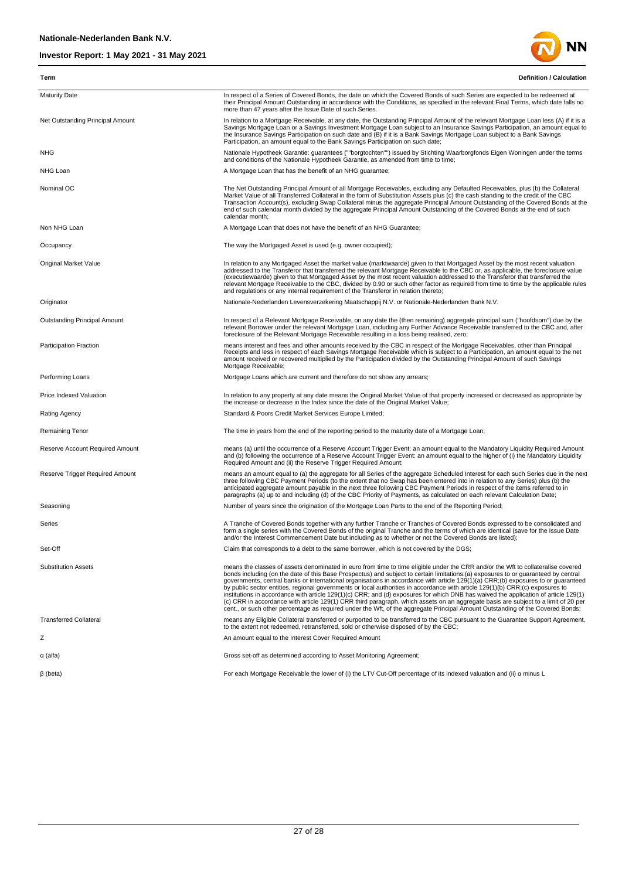

| Term                             | <b>Definition / Calculation</b>                                                                                                                                                                                                                                                                                                                                                                                                                                                                                                                                                                                                                                                                                                                                                                                                                                                                                                                               |
|----------------------------------|---------------------------------------------------------------------------------------------------------------------------------------------------------------------------------------------------------------------------------------------------------------------------------------------------------------------------------------------------------------------------------------------------------------------------------------------------------------------------------------------------------------------------------------------------------------------------------------------------------------------------------------------------------------------------------------------------------------------------------------------------------------------------------------------------------------------------------------------------------------------------------------------------------------------------------------------------------------|
| <b>Maturity Date</b>             | In respect of a Series of Covered Bonds, the date on which the Covered Bonds of such Series are expected to be redeemed at<br>their Principal Amount Outstanding in accordance with the Conditions, as specified in the relevant Final Terms, which date falls no<br>more than 47 years after the Issue Date of such Series.                                                                                                                                                                                                                                                                                                                                                                                                                                                                                                                                                                                                                                  |
| Net Outstanding Principal Amount | In relation to a Mortgage Receivable, at any date, the Outstanding Principal Amount of the relevant Mortgage Loan less (A) if it is a<br>Savings Mortgage Loan or a Savings Investment Mortgage Loan subject to an Insurance Savings Participation, an amount equal to<br>the Insurance Savings Participation on such date and (B) if it is a Bank Savings Mortgage Loan subject to a Bank Savings<br>Participation, an amount equal to the Bank Savings Participation on such date;                                                                                                                                                                                                                                                                                                                                                                                                                                                                          |
| <b>NHG</b>                       | Nationale Hypotheek Garantie: guarantees (""borgtochten"") issued by Stichting Waarborgfonds Eigen Woningen under the terms<br>and conditions of the Nationale Hypotheek Garantie, as amended from time to time;                                                                                                                                                                                                                                                                                                                                                                                                                                                                                                                                                                                                                                                                                                                                              |
| NHG Loan                         | A Mortgage Loan that has the benefit of an NHG guarantee;                                                                                                                                                                                                                                                                                                                                                                                                                                                                                                                                                                                                                                                                                                                                                                                                                                                                                                     |
| Nominal OC                       | The Net Outstanding Principal Amount of all Mortgage Receivables, excluding any Defaulted Receivables, plus (b) the Collateral<br>Market Value of all Transferred Collateral in the form of Substitution Assets plus (c) the cash standing to the credit of the CBC<br>Transaction Account(s), excluding Swap Collateral minus the aggregate Principal Amount Outstanding of the Covered Bonds at the<br>end of such calendar month divided by the aggregate Principal Amount Outstanding of the Covered Bonds at the end of such<br>calendar month;                                                                                                                                                                                                                                                                                                                                                                                                          |
| Non NHG Loan                     | A Mortgage Loan that does not have the benefit of an NHG Guarantee;                                                                                                                                                                                                                                                                                                                                                                                                                                                                                                                                                                                                                                                                                                                                                                                                                                                                                           |
| Occupancy                        | The way the Mortgaged Asset is used (e.g. owner occupied);                                                                                                                                                                                                                                                                                                                                                                                                                                                                                                                                                                                                                                                                                                                                                                                                                                                                                                    |
| Original Market Value            | In relation to any Mortgaged Asset the market value (marktwaarde) given to that Mortgaged Asset by the most recent valuation<br>addressed to the Transferor that transferred the relevant Mortgage Receivable to the CBC or, as applicable, the foreclosure value<br>(executiewaarde) given to that Mortgaged Asset by the most recent valuation addressed to the Transferor that transferred the<br>relevant Mortgage Receivable to the CBC, divided by 0.90 or such other factor as required from time to time by the applicable rules<br>and requlations or any internal requirement of the Transferor in relation thereto;                                                                                                                                                                                                                                                                                                                                |
| Originator                       | Nationale-Nederlanden Levensverzekering Maatschappij N.V. or Nationale-Nederlanden Bank N.V.                                                                                                                                                                                                                                                                                                                                                                                                                                                                                                                                                                                                                                                                                                                                                                                                                                                                  |
| Outstanding Principal Amount     | In respect of a Relevant Mortgage Receivable, on any date the (then remaining) aggregate principal sum ("hoofdsom") due by the<br>relevant Borrower under the relevant Mortgage Loan, including any Further Advance Receivable transferred to the CBC and, after<br>foreclosure of the Relevant Mortgage Receivable resulting in a loss being realised, zero;                                                                                                                                                                                                                                                                                                                                                                                                                                                                                                                                                                                                 |
| Participation Fraction           | means interest and fees and other amounts received by the CBC in respect of the Mortgage Receivables, other than Principal<br>Receipts and less in respect of each Savings Mortgage Receivable which is subject to a Participation, an amount equal to the net<br>amount received or recovered multiplied by the Participation divided by the Outstanding Principal Amount of such Savings<br>Mortgage Receivable;                                                                                                                                                                                                                                                                                                                                                                                                                                                                                                                                            |
| Performing Loans                 | Mortgage Loans which are current and therefore do not show any arrears;                                                                                                                                                                                                                                                                                                                                                                                                                                                                                                                                                                                                                                                                                                                                                                                                                                                                                       |
| Price Indexed Valuation          | In relation to any property at any date means the Original Market Value of that property increased or decreased as appropriate by<br>the increase or decrease in the Index since the date of the Original Market Value;                                                                                                                                                                                                                                                                                                                                                                                                                                                                                                                                                                                                                                                                                                                                       |
| Rating Agency                    | Standard & Poors Credit Market Services Europe Limited;                                                                                                                                                                                                                                                                                                                                                                                                                                                                                                                                                                                                                                                                                                                                                                                                                                                                                                       |
| Remaining Tenor                  | The time in years from the end of the reporting period to the maturity date of a Mortgage Loan;                                                                                                                                                                                                                                                                                                                                                                                                                                                                                                                                                                                                                                                                                                                                                                                                                                                               |
| Reserve Account Required Amount  | means (a) until the occurrence of a Reserve Account Trigger Event: an amount equal to the Mandatory Liquidity Required Amount<br>and (b) following the occurrence of a Reserve Account Trigger Event: an amount equal to the higher of (i) the Mandatory Liquidity<br>Required Amount and (ii) the Reserve Trigger Required Amount;                                                                                                                                                                                                                                                                                                                                                                                                                                                                                                                                                                                                                           |
| Reserve Trigger Required Amount  | means an amount equal to (a) the aggregate for all Series of the aggregate Scheduled Interest for each such Series due in the next<br>three following CBC Payment Periods (to the extent that no Swap has been entered into in relation to any Series) plus (b) the<br>anticipated aggregate amount payable in the next three following CBC Payment Periods in respect of the items referred to in<br>paragraphs (a) up to and including (d) of the CBC Priority of Payments, as calculated on each relevant Calculation Date;                                                                                                                                                                                                                                                                                                                                                                                                                                |
| Seasoning                        | Number of years since the origination of the Mortgage Loan Parts to the end of the Reporting Period;                                                                                                                                                                                                                                                                                                                                                                                                                                                                                                                                                                                                                                                                                                                                                                                                                                                          |
| Series                           | A Tranche of Covered Bonds together with any further Tranche or Tranches of Covered Bonds expressed to be consolidated and<br>form a single series with the Covered Bonds of the original Tranche and the terms of which are identical (save for the Issue Date<br>and/or the Interest Commencement Date but including as to whether or not the Covered Bonds are listed);                                                                                                                                                                                                                                                                                                                                                                                                                                                                                                                                                                                    |
| Set-Off                          | Claim that corresponds to a debt to the same borrower, which is not covered by the DGS;                                                                                                                                                                                                                                                                                                                                                                                                                                                                                                                                                                                                                                                                                                                                                                                                                                                                       |
| <b>Substitution Assets</b>       | means the classes of assets denominated in euro from time to time eligible under the CRR and/or the Wft to collateralise covered<br>bonds including (on the date of this Base Prospectus) and subject to certain limitations: (a) exposures to or guaranteed by central<br>governments, central banks or international organisations in accordance with article 129(1)(a) CRR;(b) exposures to or guaranteed<br>by public sector entities, regional governments or local authorities in accordance with article 129(1)(b) CRR;(c) exposures to<br>institutions in accordance with article 129(1)(c) CRR; and (d) exposures for which DNB has waived the application of article 129(1)<br>(c) CRR in accordance with article 129(1) CRR third paragraph, which assets on an aggregate basis are subject to a limit of 20 per<br>cent., or such other percentage as required under the Wft, of the aggregate Principal Amount Outstanding of the Covered Bonds; |
| <b>Transferred Collateral</b>    | means any Eligible Collateral transferred or purported to be transferred to the CBC pursuant to the Guarantee Support Agreement,<br>to the extent not redeemed, retransferred, sold or otherwise disposed of by the CBC;                                                                                                                                                                                                                                                                                                                                                                                                                                                                                                                                                                                                                                                                                                                                      |
| Ζ                                | An amount equal to the Interest Cover Required Amount                                                                                                                                                                                                                                                                                                                                                                                                                                                                                                                                                                                                                                                                                                                                                                                                                                                                                                         |
| $\alpha$ (alfa)                  | Gross set-off as determined according to Asset Monitoring Agreement;                                                                                                                                                                                                                                                                                                                                                                                                                                                                                                                                                                                                                                                                                                                                                                                                                                                                                          |
| $\beta$ (beta)                   | For each Mortgage Receivable the lower of (i) the LTV Cut-Off percentage of its indexed valuation and (ii) $\alpha$ minus L                                                                                                                                                                                                                                                                                                                                                                                                                                                                                                                                                                                                                                                                                                                                                                                                                                   |